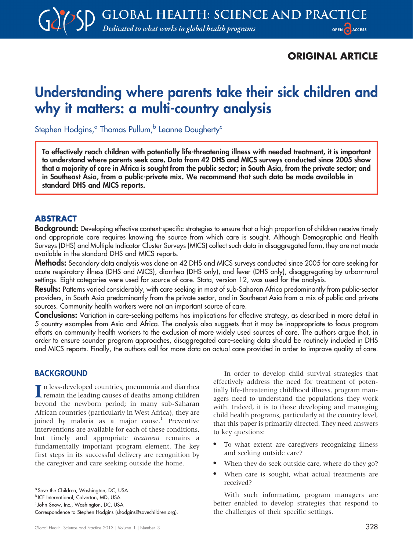## ORIGINAL ARTICLE

# Understanding where parents take their sick children and why it matters: a multi-country analysis

Stephen Hodgins,<sup>a</sup> Thomas Pullum,<sup>b</sup> Leanne Dougherty<sup>c</sup>

To effectively reach children with potentially life-threatening illness with needed treatment, it is important to understand where parents seek care. Data from 42 DHS and MICS surveys conducted since 2005 show that a majority of care in Africa is sought from the public sector; in South Asia, from the private sector; and in Southeast Asia, from a public-private mix. We recommend that such data be made available in standard DHS and MICS reports.

## ABSTRACT

Background: Developing effective context-specific strategies to ensure that a high proportion of children receive timely and appropriate care requires knowing the source from which care is sought. Although Demographic and Health Surveys (DHS) and Multiple Indicator Cluster Surveys (MICS) collect such data in disaggregated form, they are not made available in the standard DHS and MICS reports.

Methods: Secondary data analysis was done on 42 DHS and MICS surveys conducted since 2005 for care seeking for acute respiratory illness (DHS and MICS), diarrhea (DHS only), and fever (DHS only), disaggregating by urban-rural settings. Eight categories were used for source of care. Stata, version 12, was used for the analysis.

Results: Patterns varied considerably, with care seeking in most of sub-Saharan Africa predominantly from public-sector providers, in South Asia predominantly from the private sector, and in Southeast Asia from a mix of public and private sources. Community health workers were not an important source of care.

Conclusions: Variation in care-seeking patterns has implications for effective strategy, as described in more detail in 5 country examples from Asia and Africa. The analysis also suggests that it may be inappropriate to focus program efforts on community health workers to the exclusion of more widely used sources of care. The authors argue that, in order to ensure sounder program approaches, disaggregated care-seeking data should be routinely included in DHS and MICS reports. Finally, the authors call for more data on actual care provided in order to improve quality of care.

## **BACKGROUND**

I n less-developed countries, pneumonia and diarrhea remain the leading causes of deaths among children beyond the newborn period; in many sub-Saharan African countries (particularly in West Africa), they are joined by malaria as a major cause.<sup>1</sup> Preventive interventions are available for each of these conditions, but timely and appropriate treatment remains a fundamentally important program element. The key first steps in its successful delivery are recognition by the caregiver and care seeking outside the home.

<sup>c</sup> John Snow, Inc., Washington, DC, USA

Correspondence to Stephen Hodgins (shodgins@savechildren.org).

In order to develop child survival strategies that effectively address the need for treatment of potentially life-threatening childhood illness, program managers need to understand the populations they work with. Indeed, it is to those developing and managing child health programs, particularly at the country level, that this paper is primarily directed. They need answers to key questions:

- To what extent are caregivers recognizing illness and seeking outside care?
- When they do seek outside care, where do they go?
- When care is sought, what actual treatments are received?

With such information, program managers are better enabled to develop strategies that respond to the challenges of their specific settings.

<sup>&</sup>lt;sup>a</sup> Save the Children, Washington, DC, USA

**b** ICF International, Calverton, MD, USA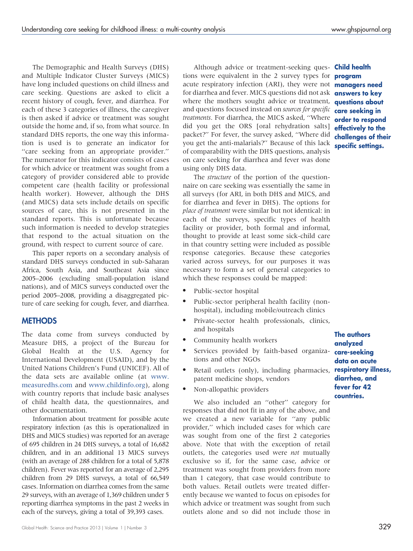care seeking in order to respond effectively to the challenges of their specific settings.

The Demographic and Health Surveys (DHS) and Multiple Indicator Cluster Surveys (MICS) have long included questions on child illness and care seeking. Questions are asked to elicit a recent history of cough, fever, and diarrhea. For each of these 3 categories of illness, the caregiver is then asked if advice or treatment was sought outside the home and, if so, from what source. In standard DHS reports, the one way this information is used is to generate an indicator for "care seeking from an appropriate provider." The numerator for this indicator consists of cases for which advice or treatment was sought from a category of provider considered able to provide competent care (health facility or professional health worker). However, although the DHS (and MICS) data sets include details on specific sources of care, this is not presented in the standard reports. This is unfortunate because such information is needed to develop strategies that respond to the actual situation on the ground, with respect to current source of care.

This paper reports on a secondary analysis of standard DHS surveys conducted in sub-Saharan Africa, South Asia, and Southeast Asia since 2005–2006 (excluding small-population island nations), and of MICS surveys conducted over the period 2005–2008, providing a disaggregated picture of care seeking for cough, fever, and diarrhea.

## **METHODS**

The data come from surveys conducted by Measure DHS, a project of the Bureau for Global Health at the U.S. Agency for International Development (USAID), and by the United Nations Children's Fund (UNICEF). All of the data sets are available online (at [www.](http://www.measuredhs.com) [measuredhs.com](http://www.measuredhs.com) and [www.childinfo.org](http://www.childinfo.org)), along with country reports that include basic analyses of child health data, the questionnaires, and other documentation.

Information about treatment for possible acute respiratory infection (as this is operationalized in DHS and MICS studies) was reported for an average of 695 children in 24 DHS surveys, a total of 16,682 children, and in an additional 13 MICS surveys (with an average of 288 children for a total of 5,878 children). Fever was reported for an average of 2,295 children from 29 DHS surveys, a total of 66,549 cases. Information on diarrhea comes from the same 29 surveys, with an average of 1,369 children under 5 reporting diarrhea symptoms in the past 2 weeks in each of the surveys, giving a total of 39,393 cases.

Although advice or treatment-seeking ques- **Child health** tions were equivalent in the 2 survey types for **program** acute respiratory infection (ARI), they were not **managers need** for diarrhea and fever. MICS questions did not ask **answers to key** where the mothers sought advice or treatment, **questions about** and questions focused instead on sources for specific treatments. For diarrhea, the MICS asked, ''Where did you get the ORS [oral rehydration salts] packet?'' For fever, the survey asked, ''Where did you get the anti-malarials?'' Because of this lack of comparability with the DHS questions, analysis on care seeking for diarrhea and fever was done using only DHS data.

The *structure* of the portion of the questionnaire on care seeking was essentially the same in all surveys (for ARI, in both DHS and MICS, and for diarrhea and fever in DHS). The options for place of treatment were similar but not identical: in each of the surveys, specific types of health facility or provider, both formal and informal, thought to provide at least some sick-child care in that country setting were included as possible response categories. Because these categories varied across surveys, for our purposes it was necessary to form a set of general categories to which these responses could be mapped:

- Public-sector hospital
- Public-sector peripheral health facility (nonhospital), including mobile/outreach clinics
- Private-sector health professionals, clinics, and hospitals
- Community health workers
- Services provided by faith-based organizations and other NGOs
- Retail outlets (only), including pharmacies, patent medicine shops, vendors
- Non-allopathic providers

We also included an ''other'' category for responses that did not fit in any of the above, and we created a new variable for ''any public provider,'' which included cases for which care was sought from one of the first 2 categories above. Note that with the exception of retail outlets, the categories used were not mutually exclusive so if, for the same case, advice or treatment was sought from providers from more than 1 category, that case would contribute to both values. Retail outlets were treated differently because we wanted to focus on episodes for which advice or treatment was sought from such outlets alone and so did not include those in

The authors analyzed care-seeking data on acute respiratory illness, diarrhea, and fever for 42 countries.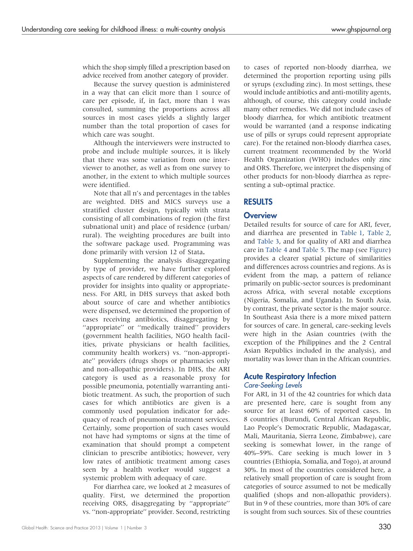which the shop simply filled a prescription based on advice received from another category of provider.

Because the survey question is administered in a way that can elicit more than 1 source of care per episode, if, in fact, more than 1 was consulted, summing the proportions across all sources in most cases yields a slightly larger number than the total proportion of cases for which care was sought.

Although the interviewers were instructed to probe and include multiple sources, it is likely that there was some variation from one interviewer to another, as well as from one survey to another, in the extent to which multiple sources were identified.

Note that all n's and percentages in the tables are weighted. DHS and MICS surveys use a stratified cluster design, typically with strata consisting of all combinations of region (the first subnational unit) and place of residence (urban/ rural). The weighting procedures are built into the software package used. Programming was done primarily with version 12 of Stata.

Supplementing the analysis disaggregating by type of provider, we have further explored aspects of care rendered by different categories of provider for insights into quality or appropriateness. For ARI, in DHS surveys that asked both about source of care and whether antibiotics were dispensed, we determined the proportion of cases receiving antibiotics, disaggregating by "appropriate" or "medically trained" providers (government health facilities, NGO health facilities, private physicians or health facilities, community health workers) vs. ''non-appropriate'' providers (drugs shops or pharmacies only and non-allopathic providers). In DHS, the ARI category is used as a reasonable proxy for possible pneumonia, potentially warranting antibiotic treatment. As such, the proportion of such cases for which antibiotics are given is a commonly used population indicator for adequacy of reach of pneumonia treatment services. Certainly, some proportion of such cases would not have had symptoms or signs at the time of examination that should prompt a competent clinician to prescribe antibiotics; however, very low rates of antibiotic treatment among cases seen by a health worker would suggest a systemic problem with adequacy of care.

For diarrhea care, we looked at 2 measures of quality. First, we determined the proportion receiving ORS, disaggregating by ''appropriate'' vs. ''non-appropriate'' provider. Second, restricting

Global Health: Science and Practice 2013 | Volume 1 | Number 3  $330$ 

to cases of reported non-bloody diarrhea, we determined the proportion reporting using pills or syrups (excluding zinc). In most settings, these would include antibiotics and anti-motility agents, although, of course, this category could include many other remedies. We did not include cases of bloody diarrhea, for which antibiotic treatment would be warranted (and a response indicating use of pills or syrups could represent appropriate care). For the retained non-bloody diarrhea cases, current treatment recommended by the World Health Organization (WHO) includes only zinc and ORS. Therefore, we interpret the dispensing of other products for non-bloody diarrhea as representing a sub-optimal practice.

## RESULTS

#### **Overview**

Detailed results for source of care for ARI, fever, and diarrhea are presented in [Table 1,](#page-8-0) [Table 2,](#page-15-0) and [Table 3](#page-20-0), and for quality of ARI and diarrhea care in [Table 4](#page-25-0) and [Table 5.](#page-26-0) The map (see [Figure](#page-3-0)) provides a clearer spatial picture of similarities and differences across countries and regions. As is evident from the map, a pattern of reliance primarily on public-sector sources is predominant across Africa, with several notable exceptions (Nigeria, Somalia, and Uganda). In South Asia, by contrast, the private sector is the major source. In Southeast Asia there is a more mixed pattern for sources of care. In general, care-seeking levels were high in the Asian countries (with the exception of the Philippines and the 2 Central Asian Republics included in the analysis), and mortality was lower than in the African countries.

#### Acute Respiratory Infection Care-Seeking Levels

For ARI, in 31 of the 42 countries for which data are presented here, care is sought from any source for at least 60% of reported cases. In 8 countries (Burundi, Central African Republic, Lao People's Democratic Republic, Madagascar, Mali, Mauritania, Sierra Leone, Zimbabwe), care seeking is somewhat lower, in the range of 40%–59%. Care seeking is much lower in 3 countries (Ethiopia, Somalia, and Togo), at around 30%. In most of the countries considered here, a relatively small proportion of care is sought from categories of source assumed to not be medically qualified (shops and non-allopathic providers). But in 9 of these countries, more than 30% of care is sought from such sources. Six of these countries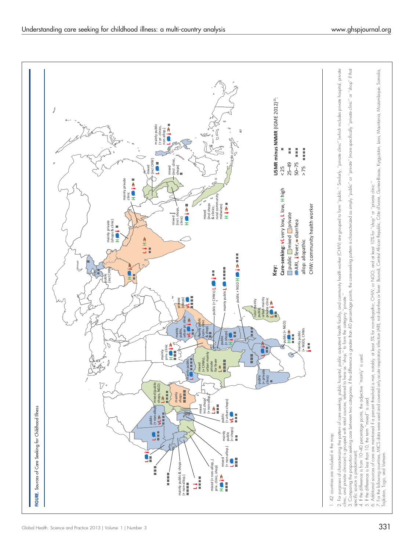<span id="page-3-0"></span>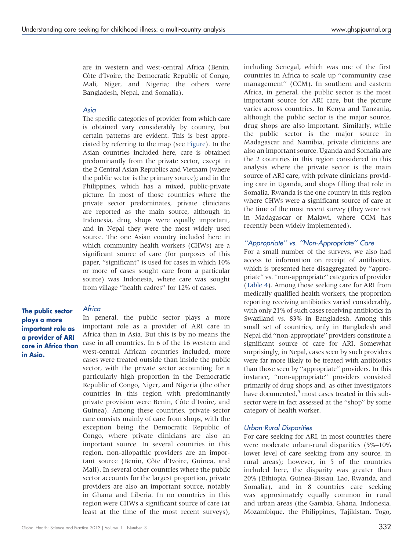are in western and west-central Africa (Benin, Côte d'Ivoire, the Democratic Republic of Congo, Mali, Niger, and Nigeria; the others were Bangladesh, Nepal, and Somalia).

#### Asia

The specific categories of provider from which care is obtained vary considerably by country, but certain patterns are evident. This is best appreciated by referring to the map (see [Figure](#page-3-0)). In the Asian countries included here, care is obtained predominantly from the private sector, except in the 2 Central Asian Republics and Vietnam (where the public sector is the primary source); and in the Philippines, which has a mixed, public-private picture. In most of those countries where the private sector predominates, private clinicians are reported as the main source, although in Indonesia, drug shops were equally important, and in Nepal they were the most widely used source. The one Asian country included here in which community health workers (CHWs) are a significant source of care (for purposes of this paper, ''significant'' is used for cases in which 10% or more of cases sought care from a particular source) was Indonesia, where care was sought from village ''health cadres'' for 12% of cases.

The public sector plays a more important role as a provider of ARI care in Africa than in Asia.

#### Africa

In general, the public sector plays a more important role as a provider of ARI care in Africa than in Asia. But this is by no means the case in all countries. In 6 of the 16 western and west-central African countries included, more cases were treated outside than inside the public sector, with the private sector accounting for a particularly high proportion in the Democratic Republic of Congo, Niger, and Nigeria (the other countries in this region with predominantly private provision were Benin, Côte d'Ivoire, and Guinea). Among these countries, private-sector care consists mainly of care from shops, with the exception being the Democratic Republic of Congo, where private clinicians are also an important source. In several countries in this region, non-allopathic providers are an important source (Benin, Côte d'Ivoire, Guinea, and Mali). In several other countries where the public sector accounts for the largest proportion, private providers are also an important source, notably in Ghana and Liberia. In no countries in this region were CHWs a significant source of care (at least at the time of the most recent surveys), including Senegal, which was one of the first countries in Africa to scale up ''community case management'' (CCM). In southern and eastern Africa, in general, the public sector is the most important source for ARI care, but the picture varies across countries. In Kenya and Tanzania, although the public sector is the major source, drug shops are also important. Similarly, while the public sector is the major source in Madagascar and Namibia, private clinicians are also an important source. Uganda and Somalia are the 2 countries in this region considered in this analysis where the private sector is the main source of ARI care, with private clinicians providing care in Uganda, and shops filling that role in Somalia. Rwanda is the one country in this region where CHWs were a significant source of care at the time of the most recent survey (they were not in Madagascar or Malawi, where CCM has recently been widely implemented).

#### ''Appropriate'' vs. ''Non-Appropriate'' Care

For a small number of the surveys, we also had access to information on receipt of antibiotics, which is presented here disaggregated by ''appropriate'' vs. ''non-appropriate'' categories of provider ([Table 4\)](#page-25-0). Among those seeking care for ARI from medically qualified health workers, the proportion reporting receiving antibiotics varied considerably, with only 21% of such cases receiving antibiotics in Swaziland vs. 83% in Bangladesh. Among this small set of countries, only in Bangladesh and Nepal did ''non-appropriate'' providers constitute a significant source of care for ARI. Somewhat surprisingly, in Nepal, cases seen by such providers were far more likely to be treated with antibiotics than those seen by ''appropriate'' providers. In this instance, ''non-appropriate'' providers consisted primarily of drug shops and, as other investigators have documented,<sup>5</sup> most cases treated in this subsector were in fact assessed at the ''shop'' by some category of health worker.

#### Urban-Rural Disparities

For care seeking for ARI, in most countries there were moderate urban-rural disparities (5%–10% lower level of care seeking from any source, in rural areas); however, in 5 of the countries included here, the disparity was greater than 20% (Ethiopia, Guinea-Bissau, Lao, Rwanda, and Somalia), and in 8 countries care seeking was approximately equally common in rural and urban areas (the Gambia, Ghana, Indonesia, Mozambique, the Philippines, Tajikistan, Togo,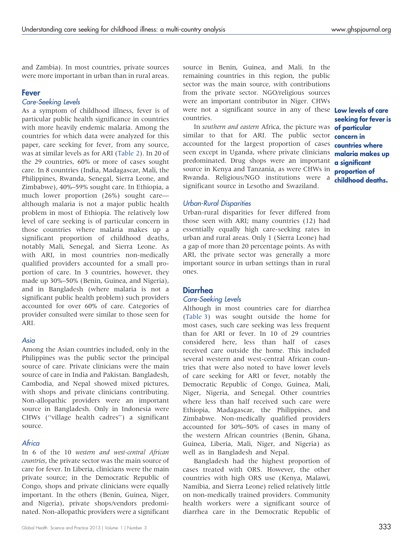and Zambia). In most countries, private sources were more important in urban than in rural areas.

#### Fever

#### Care-Seeking Levels

As a symptom of childhood illness, fever is of particular public health significance in countries with more heavily endemic malaria. Among the countries for which data were analyzed for this paper, care seeking for fever, from any source, was at similar levels as for ARI ([Table 2\)](#page-15-0). In 20 of the 29 countries, 60% or more of cases sought care. In 8 countries (India, Madagascar, Mali, the Philippines, Rwanda, Senegal, Sierra Leone, and Zimbabwe), 40%–59% sought care. In Ethiopia, a much lower proportion (26%) sought care although malaria is not a major public health problem in most of Ethiopia. The relatively low level of care seeking is of particular concern in those countries where malaria makes up a significant proportion of childhood deaths, notably Mali, Senegal, and Sierra Leone. As with ARI, in most countries non-medically qualified providers accounted for a small proportion of care. In 3 countries, however, they made up 30%–50% (Benin, Guinea, and Nigeria), and in Bangladesh (where malaria is not a significant public health problem) such providers accounted for over 60% of care. Categories of provider consulted were similar to those seen for ARI.

#### Asia

Among the Asian countries included, only in the Philippines was the public sector the principal source of care. Private clinicians were the main source of care in India and Pakistan. Bangladesh, Cambodia, and Nepal showed mixed pictures, with shops and private clinicians contributing. Non-allopathic providers were an important source in Bangladesh. Only in Indonesia were CHWs (''village health cadres'') a significant source.

#### Africa

In 6 of the 10 western and west-central African countries, the private sector was the main source of care for fever. In Liberia, clinicians were the main private source; in the Democratic Republic of Congo, shops and private clinicians were equally important. In the others (Benin, Guinea, Niger, and Nigeria), private shops/vendors predominated. Non-allopathic providers were a significant

source in Benin, Guinea, and Mali. In the remaining countries in this region, the public sector was the main source, with contributions from the private sector. NGO/religious sources were an important contributor in Niger. CHWs were not a significant source in any of these Low levels of care countries.

In southern and eastern Africa, the picture was **of particular** similar to that for ARI. The public sector accounted for the largest proportion of cases seen except in Uganda, where private clinicians predominated. Drug shops were an important source in Kenya and Tanzania, as were CHWs in Rwanda. Religious/NGO institutions were a significant source in Lesotho and Swaziland.

seeking for fever is concern in countries where malaria makes up a significant proportion of childhood deaths.

#### Urban-Rural Disparities

Urban-rural disparities for fever differed from those seen with ARI; many countries (12) had essentially equally high care-seeking rates in urban and rural areas. Only 1 (Sierra Leone) had a gap of more than 20 percentage points. As with ARI, the private sector was generally a more important source in urban settings than in rural ones.

#### Diarrhea

#### Care-Seeking Levels

Although in most countries care for diarrhea ([Table 3](#page-20-0)) was sought outside the home for most cases, such care seeking was less frequent than for ARI or fever. In 10 of 29 countries considered here, less than half of cases received care outside the home. This included several western and west-central African countries that were also noted to have lower levels of care seeking for ARI or fever, notably the Democratic Republic of Congo, Guinea, Mali, Niger, Nigeria, and Senegal. Other countries where less than half received such care were Ethiopia, Madagascar, the Philippines, and Zimbabwe. Non-medically qualified providers accounted for 30%–50% of cases in many of the western African countries (Benin, Ghana, Guinea, Liberia, Mali, Niger, and Nigeria) as well as in Bangladesh and Nepal.

Bangladesh had the highest proportion of cases treated with ORS. However, the other countries with high ORS use (Kenya, Malawi, Namibia, and Sierra Leone) relied relatively little on non-medically trained providers. Community health workers were a significant source of diarrhea care in the Democratic Republic of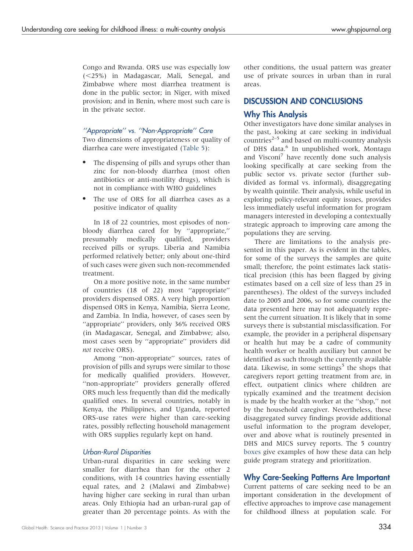Congo and Rwanda. ORS use was especially low (<25%) in Madagascar, Mali, Senegal, and Zimbabwe where most diarrhea treatment is done in the public sector; in Niger, with mixed provision; and in Benin, where most such care is in the private sector.

### ''Appropriate'' vs. ''Non-Appropriate'' Care

Two dimensions of appropriateness or quality of diarrhea care were investigated [\(Table 5](#page-26-0)):

- The dispensing of pills and syrups other than zinc for non-bloody diarrhea (most often antibiotics or anti-motility drugs), which is not in compliance with WHO guidelines
- The use of ORS for all diarrhea cases as a positive indicator of quality

In 18 of 22 countries, most episodes of nonbloody diarrhea cared for by ''appropriate,'' presumably medically qualified, providers received pills or syrups. Liberia and Namibia performed relatively better; only about one-third of such cases were given such non-recommended treatment.

On a more positive note, in the same number of countries (18 of 22) most ''appropriate'' providers dispensed ORS. A very high proportion dispensed ORS in Kenya, Namibia, Sierra Leone, and Zambia. In India, however, of cases seen by ''appropriate'' providers, only 36% received ORS (in Madagascar, Senegal, and Zimbabwe; also, most cases seen by ''appropriate'' providers did not receive ORS).

Among ''non-appropriate'' sources, rates of provision of pills and syrups were similar to those for medically qualified providers. However, "non-appropriate" providers generally offered ORS much less frequently than did the medically qualified ones. In several countries, notably in Kenya, the Philippines, and Uganda, reported ORS-use rates were higher than care-seeking rates, possibly reflecting household management with ORS supplies regularly kept on hand.

## Urban-Rural Disparities

Urban-rural disparities in care seeking were smaller for diarrhea than for the other 2 conditions, with 14 countries having essentially equal rates, and 2 (Malawi and Zimbabwe) having higher care seeking in rural than urban areas. Only Ethiopia had an urban-rural gap of greater than 20 percentage points. As with the other conditions, the usual pattern was greater use of private sources in urban than in rural areas.

## DISCUSSION AND CONCLUSIONS

## Why This Analysis

Other investigators have done similar analyses in the past, looking at care seeking in individual countries $^{2-5}$  and based on multi-country analysis of DHS data.<sup>6</sup> In unpublished work, Montagu and Visconi<sup>7</sup> have recently done such analysis looking specifically at care seeking from the public sector vs. private sector (further subdivided as formal vs. informal), disaggregating by wealth quintile. Their analysis, while useful in exploring policy-relevant equity issues, provides less immediately useful information for program managers interested in developing a contextually strategic approach to improving care among the populations they are serving.

There are limitations to the analysis presented in this paper. As is evident in the tables, for some of the surveys the samples are quite small; therefore, the point estimates lack statistical precision (this has been flagged by giving estimates based on a cell size of less than 25 in parentheses). The oldest of the surveys included date to 2005 and 2006, so for some countries the data presented here may not adequately represent the current situation. It is likely that in some surveys there is substantial misclassification. For example, the provider in a peripheral dispensary or health hut may be a cadre of community health worker or health auxiliary but cannot be identified as such through the currently available data. Likewise, in some settings<sup>5</sup> the shops that caregivers report getting treatment from are, in effect, outpatient clinics where children are typically examined and the treatment decision is made by the health worker at the ''shop,'' not by the household caregiver. Nevertheless, these disaggregated survey findings provide additional useful information to the program developer, over and above what is routinely presented in DHS and MICS survey reports. The 5 country [boxes](#page-27-0) give examples of how these data can help guide program strategy and prioritization.

### Why Care-Seeking Patterns Are Important

Current patterns of care seeking need to be an important consideration in the development of effective approaches to improve case management for childhood illness at population scale. For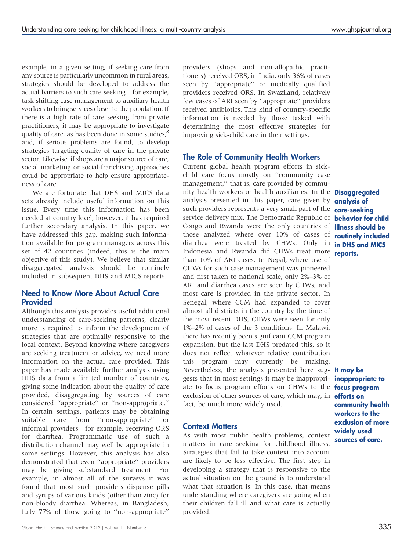example, in a given setting, if seeking care from any source is particularly uncommon in rural areas, strategies should be developed to address the actual barriers to such care seeking—for example, task shifting case management to auxiliary health workers to bring services closer to the population. If there is a high rate of care seeking from private practitioners, it may be appropriate to investigate quality of care, as has been done in some studies,<sup>8</sup> and, if serious problems are found, to develop strategies targeting quality of care in the private sector. Likewise, if shops are a major source of care, social marketing or social-franchising approaches could be appropriate to help ensure appropriateness of care.

We are fortunate that DHS and MICS data sets already include useful information on this issue. Every time this information has been needed at country level, however, it has required further secondary analysis. In this paper, we have addressed this gap, making such information available for program managers across this set of 42 countries (indeed, this is the main objective of this study). We believe that similar disaggregated analysis should be routinely included in subsequent DHS and MICS reports.

## Need to Know More About Actual Care Provided

Although this analysis provides useful additional understanding of care-seeking patterns, clearly more is required to inform the development of strategies that are optimally responsive to the local context. Beyond knowing where caregivers are seeking treatment or advice, we need more information on the actual care provided. This paper has made available further analysis using DHS data from a limited number of countries, giving some indication about the quality of care provided, disaggregating by sources of care considered ''appropriate'' or ''non-appropriate.'' In certain settings, patients may be obtaining suitable care from ''non-appropriate'' or informal providers—for example, receiving ORS for diarrhea. Programmatic use of such a distribution channel may well be appropriate in some settings. However, this analysis has also demonstrated that even ''appropriate'' providers may be giving substandard treatment. For example, in almost all of the surveys it was found that most such providers dispense pills and syrups of various kinds (other than zinc) for non-bloody diarrhea. Whereas, in Bangladesh, fully 77% of those going to "non-appropriate"

providers (shops and non-allopathic practitioners) received ORS, in India, only 36% of cases seen by ''appropriate'' or medically qualified providers received ORS. In Swaziland, relatively few cases of ARI seen by ''appropriate'' providers received antibiotics. This kind of country-specific information is needed by those tasked with determining the most effective strategies for improving sick-child care in their settings.

## The Role of Community Health Workers

Current global health program efforts in sickchild care focus mostly on ''community case management," that is, care provided by community health workers or health auxiliaries. In the **Disaggregated** analysis presented in this paper, care given by **analysis of** such providers represents a very small part of the service delivery mix. The Democratic Republic of **behavior for child** Congo and Rwanda were the only countries of those analyzed where over 10% of cases of diarrhea were treated by CHWs. Only in Indonesia and Rwanda did CHWs treat more reports. than 10% of ARI cases. In Nepal, where use of CHWs for such case management was pioneered and first taken to national scale, only 2%–3% of ARI and diarrhea cases are seen by CHWs, and most care is provided in the private sector. In Senegal, where CCM had expanded to cover almost all districts in the country by the time of the most recent DHS, CHWs were seen for only 1%–2% of cases of the 3 conditions. In Malawi, there has recently been significant CCM program expansion, but the last DHS predated this, so it does not reflect whatever relative contribution this program may currently be making. Nevertheless, the analysis presented here sug- **It may be** gests that in most settings it may be inappropri- **inappropriate to** ate to focus program efforts on CHWs to the focus program exclusion of other sources of care, which may, in **efforts on** fact, be much more widely used.

## Context Matters

As with most public health problems, context matters in care seeking for childhood illness. Strategies that fail to take context into account are likely to be less effective. The first step in developing a strategy that is responsive to the actual situation on the ground is to understand what that situation is. In this case, that means understanding where caregivers are going when their children fall ill and what care is actually provided.

care-seeking illness should be routinely included in DHS and MICS

community health workers to the exclusion of more widely used sources of care.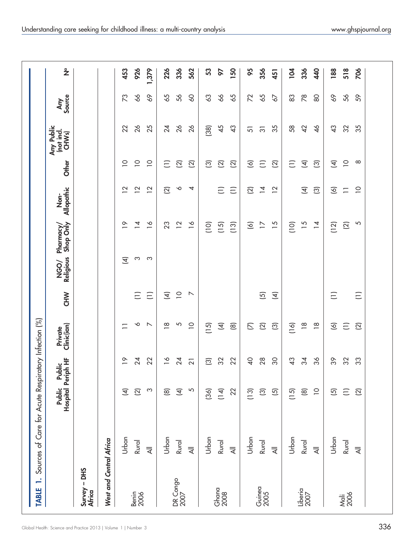<span id="page-8-0"></span>

| Source<br>56<br>8 <sup>o</sup><br>56<br>K<br>8 <sup>o</sup><br>$\Im$<br>59<br>$\infty$<br>$\Im$<br>59<br>72<br>59<br>$\overline{78}$<br>$\infty$<br>$\frac{8}{3}$<br>SS<br>83<br>$\mathcal{L}$<br>Any<br>$\frac{2}{6}$<br>35<br>26<br>25<br>26<br>45<br>35<br>58<br>42<br>$\frac{8}{5}$<br>$\frac{3}{4}$<br>32<br>22<br>$\overline{24}$<br>$\frac{3}{4}$<br>Any Public<br>(38)<br>51<br>$\overline{\circ}$<br>(not incl.<br>CHW <sub>s</sub> )<br>$\overline{C}$<br>$\supseteq$<br>$\overline{C}$<br>$\infty$<br>$\supseteq$<br>$\overline{A}$<br>Other<br>$\overline{\mathfrak{D}}$<br>$\overline{2}$<br>$\overline{\mathcal{O}}$<br>$\overline{\mathfrak{D}}$<br>$\widehat{=}$<br>$\overline{2}$<br>Ξ<br>E<br>Ξ<br>$\overline{2}$<br>$\odot$<br>$\overline{3}$<br>Non-<br>Allopathic<br>$\overline{2}$<br>$\overline{12}$<br>∿<br>$\widehat{=}$<br>$\overline{4}$<br>$\overline{12}$<br>$\supseteq$<br>$\overline{2}$<br>↴<br>Ξ<br>$\overline{A}$<br>$\overline{3}$<br>$\odot$<br>$\overline{2}$<br>$\overline{2}$<br>$\equiv$<br>Pharmacy/<br>Shop Only<br>$\overline{5}$<br>5<br>$\frac{8}{1}$<br>$\overline{12}$<br>$\frac{8}{1}$<br>$\overline{5}$<br>$\overline{C}$<br>$\overline{4}$<br>23<br>(10)<br>$\overline{4}$<br>(10)<br>(15)<br>$\odot$<br>$\geq$<br>(12)<br>$\overline{2}$<br>(13)<br>NGO/I<br>Religious<br>S<br>က<br>互<br>$\overline{C}$<br>$\widehat{=}$<br><b>NHN</b><br>$\widehat{=}$<br>$\widehat{=}$<br>$\overline{\phantom{0}}$<br>$\overline{5}$<br>$\overline{A}$<br>E)<br>Ξ<br>5<br>$\frac{8}{10}$<br>∾<br>$\overline{\phantom{0}}$<br>$\frac{8}{1}$<br>$\overline{C}$<br>$\overline{A}$<br>$\frac{8}{10}$<br>$\widehat{=}$<br>Private<br>Clinic(ian)<br>(15)<br>$\overline{\mathfrak{Q}}$<br>$\overline{3}$<br>$\frac{1}{2}$<br>$\odot$<br>(2)<br>$\circledR$<br>$\overline{\mathcal{L}}$<br>Ξ<br>Public Public<br>Hospital Periph HF<br>$\overline{2}$<br>32<br>$\overline{P}$<br>28<br>$\infty$<br>$\mathfrak{L}$<br>36<br>32<br>$\frac{\infty}{\infty}$<br>$\overline{24}$<br>22<br>$\frac{8}{1}$<br>22<br>43<br>8<br>33<br>ලු<br>$\overline{2}1$<br>$\overline{5}$<br>22<br>$\subseteq$<br>$\infty$<br>$\widehat{A}$<br>(36)<br>(14)<br>$(13)$<br>$\overline{\omega}$<br>(5)<br>$\circledg$<br>$\equiv$<br>$\widehat{\mathcal{N}}$<br>$\widehat{A}$<br>$\widetilde{\Xi}$<br>$\circledR$<br>(15)<br>$\overline{5}$<br>Urban<br>Urban<br>Urban<br>Urban<br>Urban<br>Urban<br><b>West and Central Africa</b><br>Rural<br>Rural<br>Rural<br>Rural<br>Rural<br>Rural<br>₹<br>$\overline{\overline{z}}$<br>₹<br>$\overline{\overline{z}}$<br>₹<br>₹<br>Survey - DHS<br>Africa<br>DR Congo<br>2007<br>Guinea<br>2005<br>Ghana<br>2008<br>Liberia<br>2007<br>Benin<br>2006<br>Mali<br>2006 | Ľ,<br><b>TABLE</b> | Sources of Care for Acute |  | Respiratory Infection (%) |  |  |  |                     |
|--------------------------------------------------------------------------------------------------------------------------------------------------------------------------------------------------------------------------------------------------------------------------------------------------------------------------------------------------------------------------------------------------------------------------------------------------------------------------------------------------------------------------------------------------------------------------------------------------------------------------------------------------------------------------------------------------------------------------------------------------------------------------------------------------------------------------------------------------------------------------------------------------------------------------------------------------------------------------------------------------------------------------------------------------------------------------------------------------------------------------------------------------------------------------------------------------------------------------------------------------------------------------------------------------------------------------------------------------------------------------------------------------------------------------------------------------------------------------------------------------------------------------------------------------------------------------------------------------------------------------------------------------------------------------------------------------------------------------------------------------------------------------------------------------------------------------------------------------------------------------------------------------------------------------------------------------------------------------------------------------------------------------------------------------------------------------------------------------------------------------------------------------------------------------------------------------------------------------------------------------------------------------------------------------------------------------------------------------------------------------------------------------------------------------------------------------------------------------------------------------------------------------------------------------------------------------------------------------------------------------------------------------------------------------------------------------------------------|--------------------|---------------------------|--|---------------------------|--|--|--|---------------------|
|                                                                                                                                                                                                                                                                                                                                                                                                                                                                                                                                                                                                                                                                                                                                                                                                                                                                                                                                                                                                                                                                                                                                                                                                                                                                                                                                                                                                                                                                                                                                                                                                                                                                                                                                                                                                                                                                                                                                                                                                                                                                                                                                                                                                                                                                                                                                                                                                                                                                                                                                                                                                                                                                                                                    |                    |                           |  |                           |  |  |  | $\frac{5}{2}$       |
|                                                                                                                                                                                                                                                                                                                                                                                                                                                                                                                                                                                                                                                                                                                                                                                                                                                                                                                                                                                                                                                                                                                                                                                                                                                                                                                                                                                                                                                                                                                                                                                                                                                                                                                                                                                                                                                                                                                                                                                                                                                                                                                                                                                                                                                                                                                                                                                                                                                                                                                                                                                                                                                                                                                    |                    |                           |  |                           |  |  |  |                     |
|                                                                                                                                                                                                                                                                                                                                                                                                                                                                                                                                                                                                                                                                                                                                                                                                                                                                                                                                                                                                                                                                                                                                                                                                                                                                                                                                                                                                                                                                                                                                                                                                                                                                                                                                                                                                                                                                                                                                                                                                                                                                                                                                                                                                                                                                                                                                                                                                                                                                                                                                                                                                                                                                                                                    |                    |                           |  |                           |  |  |  |                     |
|                                                                                                                                                                                                                                                                                                                                                                                                                                                                                                                                                                                                                                                                                                                                                                                                                                                                                                                                                                                                                                                                                                                                                                                                                                                                                                                                                                                                                                                                                                                                                                                                                                                                                                                                                                                                                                                                                                                                                                                                                                                                                                                                                                                                                                                                                                                                                                                                                                                                                                                                                                                                                                                                                                                    |                    |                           |  |                           |  |  |  | 453                 |
|                                                                                                                                                                                                                                                                                                                                                                                                                                                                                                                                                                                                                                                                                                                                                                                                                                                                                                                                                                                                                                                                                                                                                                                                                                                                                                                                                                                                                                                                                                                                                                                                                                                                                                                                                                                                                                                                                                                                                                                                                                                                                                                                                                                                                                                                                                                                                                                                                                                                                                                                                                                                                                                                                                                    |                    |                           |  |                           |  |  |  | 926                 |
|                                                                                                                                                                                                                                                                                                                                                                                                                                                                                                                                                                                                                                                                                                                                                                                                                                                                                                                                                                                                                                                                                                                                                                                                                                                                                                                                                                                                                                                                                                                                                                                                                                                                                                                                                                                                                                                                                                                                                                                                                                                                                                                                                                                                                                                                                                                                                                                                                                                                                                                                                                                                                                                                                                                    |                    |                           |  |                           |  |  |  | 1,379               |
|                                                                                                                                                                                                                                                                                                                                                                                                                                                                                                                                                                                                                                                                                                                                                                                                                                                                                                                                                                                                                                                                                                                                                                                                                                                                                                                                                                                                                                                                                                                                                                                                                                                                                                                                                                                                                                                                                                                                                                                                                                                                                                                                                                                                                                                                                                                                                                                                                                                                                                                                                                                                                                                                                                                    |                    |                           |  |                           |  |  |  | 226                 |
|                                                                                                                                                                                                                                                                                                                                                                                                                                                                                                                                                                                                                                                                                                                                                                                                                                                                                                                                                                                                                                                                                                                                                                                                                                                                                                                                                                                                                                                                                                                                                                                                                                                                                                                                                                                                                                                                                                                                                                                                                                                                                                                                                                                                                                                                                                                                                                                                                                                                                                                                                                                                                                                                                                                    |                    |                           |  |                           |  |  |  | 336                 |
|                                                                                                                                                                                                                                                                                                                                                                                                                                                                                                                                                                                                                                                                                                                                                                                                                                                                                                                                                                                                                                                                                                                                                                                                                                                                                                                                                                                                                                                                                                                                                                                                                                                                                                                                                                                                                                                                                                                                                                                                                                                                                                                                                                                                                                                                                                                                                                                                                                                                                                                                                                                                                                                                                                                    |                    |                           |  |                           |  |  |  | 562                 |
|                                                                                                                                                                                                                                                                                                                                                                                                                                                                                                                                                                                                                                                                                                                                                                                                                                                                                                                                                                                                                                                                                                                                                                                                                                                                                                                                                                                                                                                                                                                                                                                                                                                                                                                                                                                                                                                                                                                                                                                                                                                                                                                                                                                                                                                                                                                                                                                                                                                                                                                                                                                                                                                                                                                    |                    |                           |  |                           |  |  |  | 33                  |
|                                                                                                                                                                                                                                                                                                                                                                                                                                                                                                                                                                                                                                                                                                                                                                                                                                                                                                                                                                                                                                                                                                                                                                                                                                                                                                                                                                                                                                                                                                                                                                                                                                                                                                                                                                                                                                                                                                                                                                                                                                                                                                                                                                                                                                                                                                                                                                                                                                                                                                                                                                                                                                                                                                                    |                    |                           |  |                           |  |  |  | $\overline{\delta}$ |
|                                                                                                                                                                                                                                                                                                                                                                                                                                                                                                                                                                                                                                                                                                                                                                                                                                                                                                                                                                                                                                                                                                                                                                                                                                                                                                                                                                                                                                                                                                                                                                                                                                                                                                                                                                                                                                                                                                                                                                                                                                                                                                                                                                                                                                                                                                                                                                                                                                                                                                                                                                                                                                                                                                                    |                    |                           |  |                           |  |  |  | 150                 |
|                                                                                                                                                                                                                                                                                                                                                                                                                                                                                                                                                                                                                                                                                                                                                                                                                                                                                                                                                                                                                                                                                                                                                                                                                                                                                                                                                                                                                                                                                                                                                                                                                                                                                                                                                                                                                                                                                                                                                                                                                                                                                                                                                                                                                                                                                                                                                                                                                                                                                                                                                                                                                                                                                                                    |                    |                           |  |                           |  |  |  | 95                  |
|                                                                                                                                                                                                                                                                                                                                                                                                                                                                                                                                                                                                                                                                                                                                                                                                                                                                                                                                                                                                                                                                                                                                                                                                                                                                                                                                                                                                                                                                                                                                                                                                                                                                                                                                                                                                                                                                                                                                                                                                                                                                                                                                                                                                                                                                                                                                                                                                                                                                                                                                                                                                                                                                                                                    |                    |                           |  |                           |  |  |  | 356                 |
|                                                                                                                                                                                                                                                                                                                                                                                                                                                                                                                                                                                                                                                                                                                                                                                                                                                                                                                                                                                                                                                                                                                                                                                                                                                                                                                                                                                                                                                                                                                                                                                                                                                                                                                                                                                                                                                                                                                                                                                                                                                                                                                                                                                                                                                                                                                                                                                                                                                                                                                                                                                                                                                                                                                    |                    |                           |  |                           |  |  |  | 451                 |
|                                                                                                                                                                                                                                                                                                                                                                                                                                                                                                                                                                                                                                                                                                                                                                                                                                                                                                                                                                                                                                                                                                                                                                                                                                                                                                                                                                                                                                                                                                                                                                                                                                                                                                                                                                                                                                                                                                                                                                                                                                                                                                                                                                                                                                                                                                                                                                                                                                                                                                                                                                                                                                                                                                                    |                    |                           |  |                           |  |  |  | 104                 |
|                                                                                                                                                                                                                                                                                                                                                                                                                                                                                                                                                                                                                                                                                                                                                                                                                                                                                                                                                                                                                                                                                                                                                                                                                                                                                                                                                                                                                                                                                                                                                                                                                                                                                                                                                                                                                                                                                                                                                                                                                                                                                                                                                                                                                                                                                                                                                                                                                                                                                                                                                                                                                                                                                                                    |                    |                           |  |                           |  |  |  | 336                 |
|                                                                                                                                                                                                                                                                                                                                                                                                                                                                                                                                                                                                                                                                                                                                                                                                                                                                                                                                                                                                                                                                                                                                                                                                                                                                                                                                                                                                                                                                                                                                                                                                                                                                                                                                                                                                                                                                                                                                                                                                                                                                                                                                                                                                                                                                                                                                                                                                                                                                                                                                                                                                                                                                                                                    |                    |                           |  |                           |  |  |  | 440                 |
|                                                                                                                                                                                                                                                                                                                                                                                                                                                                                                                                                                                                                                                                                                                                                                                                                                                                                                                                                                                                                                                                                                                                                                                                                                                                                                                                                                                                                                                                                                                                                                                                                                                                                                                                                                                                                                                                                                                                                                                                                                                                                                                                                                                                                                                                                                                                                                                                                                                                                                                                                                                                                                                                                                                    |                    |                           |  |                           |  |  |  | 188                 |
|                                                                                                                                                                                                                                                                                                                                                                                                                                                                                                                                                                                                                                                                                                                                                                                                                                                                                                                                                                                                                                                                                                                                                                                                                                                                                                                                                                                                                                                                                                                                                                                                                                                                                                                                                                                                                                                                                                                                                                                                                                                                                                                                                                                                                                                                                                                                                                                                                                                                                                                                                                                                                                                                                                                    |                    |                           |  |                           |  |  |  | 518                 |
|                                                                                                                                                                                                                                                                                                                                                                                                                                                                                                                                                                                                                                                                                                                                                                                                                                                                                                                                                                                                                                                                                                                                                                                                                                                                                                                                                                                                                                                                                                                                                                                                                                                                                                                                                                                                                                                                                                                                                                                                                                                                                                                                                                                                                                                                                                                                                                                                                                                                                                                                                                                                                                                                                                                    |                    |                           |  |                           |  |  |  | 706                 |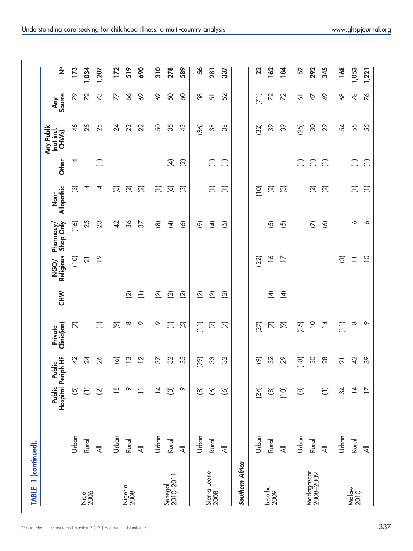| TABLE 1 (continued).    |                           |                          |                     |                        |                           |                   |                             |                           |                |                                                |                               |               |
|-------------------------|---------------------------|--------------------------|---------------------|------------------------|---------------------------|-------------------|-----------------------------|---------------------------|----------------|------------------------------------------------|-------------------------------|---------------|
|                         |                           | Public<br>Hospital       | Periph HF<br>Public | Private<br>Clinic(ian) | <b>NHN</b>                | Religious<br>NGO/ | Pharmacy/<br>Shop Only      | Non-<br>Allopathic        | Other          | Any Public<br>(not incl.<br>CHW <sub>s</sub> ) | Any<br>Source                 | $\frac{5}{2}$ |
|                         | Urban                     | $\overline{5}$           | $\overline{4}$      | E                      |                           | $\overline{0}$    | $\frac{1}{2}$               | ව                         | 4              | $\frac{8}{4}$                                  | $\approx$                     | 173           |
| Niger<br>2006           | <b>Rural</b>              | $\widehat{\Xi}$          | $\overline{z}$      |                        |                           | $\overline{2}$    | 25                          | 4                         |                | 25                                             | $\overline{z}$                | 1,034         |
|                         | $\overline{\overline{z}}$ | $\widehat{\Xi}$          | $\frac{2}{6}$       | $\widehat{=}$          |                           | $\approx$         | 23                          | ↴                         | Ξ              | 28                                             | $\mathcal{R}$                 | 1,207         |
|                         | Urban                     | $\frac{8}{1}$            | $\odot$             | $\circledcirc$         |                           |                   | 42                          | ි                         |                | $\overline{2}$                                 | R                             | 172           |
| Nigeria<br>2008         | Rural                     | $\circ$                  | $\tilde{c}$         | $\infty$               | $\overline{2}$            |                   | 36                          | $\overline{2}$            |                | 22                                             | 8 <sup>o</sup>                | 519           |
|                         | $\overline{\overline{z}}$ | $\overline{\phantom{0}}$ | $\overline{2}$      | $\infty$               | $\Xi$                     |                   | $\overline{\mathcal{E}}$    | $\overline{2}$            |                | 22                                             | $\frac{8}{\sqrt{2}}$          | 690           |
|                         | Urban                     | $\overline{4}$           | ਨ਼                  | ᡐ                      | $\overline{\mathfrak{D}}$ |                   | @                           | Ξ                         |                | SO                                             | SS                            | 310           |
| Senegal<br>2010–2011    | Rural                     | $\widehat{\mathbb{C}}$   | 32                  | Ξ                      | (2)                       |                   | 互                           | $\odot$                   | E)             | 35                                             | SO                            | 278           |
|                         | ₹                         | $\circ$                  | 35                  | 5)                     | $\overline{2}$            |                   | $\odot$                     | $\overline{3}$            | $\overline{2}$ | $\frac{3}{4}$                                  | $\infty$                      | 589           |
|                         | Urban                     | $\circledR$              | (29)                | $\overline{11}$        | $\boxed{2}$               |                   | <u>ଚ</u>                    |                           |                | (36)                                           | 58                            | 56            |
| Sierra Leone<br>2008    | Rural                     | $\odot$                  | 33                  | E                      | (2)                       |                   | (A)                         | Ξ                         | $\widehat{=}$  | $38\,$                                         | 51                            | 281           |
|                         | ₹                         | $\odot$                  | 32                  | Q                      | $\overline{2}$            |                   | <u>(5)</u>                  | $\Xi$                     | $\widehat{=}$  | 38                                             | S <sub>2</sub>                | 337           |
| Southern Africa         |                           |                          |                     |                        |                           |                   |                             |                           |                |                                                |                               |               |
|                         | Urban                     | (24)                     | $\circledcirc$      | (27)                   |                           | (22)              |                             | (10)                      |                | (32)                                           | (71)                          | 22            |
| Lesotho<br>2009         | <b>Rural</b>              | $\circledR$              | 32                  | E                      | $\overline{A}$            | $\frac{8}{10}$    | $\overline{5}$              | $\overline{2}$            |                | $\frac{8}{3}$                                  | $\mathcal{L}$                 | 162           |
|                         | $\overline{\overline{z}}$ | (10)                     | 29                  | $\circ$                | $\overline{A}$            | $\geq$            | $\overline{5}$              | $\overline{3}$            |                | $\frac{8}{3}$                                  | $\mathcal{L}$                 | 184           |
|                         | Urban                     | $\circledR$              | (18)                | (35)                   |                           |                   |                             |                           | Ξ              | (25)                                           | $\overline{\circ}$            | 52            |
| Madagascar<br>2008–2009 | <b>Rural</b>              |                          | $\infty$            | $\supseteq$            |                           |                   | $\overline{\triangleright}$ | $\overline{\mathfrak{D}}$ | Ξ              | $\infty$                                       | A                             | 292           |
|                         | ₹                         | $\widehat{=}$            | 28                  | $\overline{4}$         |                           |                   | $\odot$                     | $\overline{2}$            | $\widehat{=}$  | 29                                             | $\frac{\partial}{\partial t}$ | 345           |
|                         | Urban                     | $\mathfrak{z}$           | 21                  | $\frac{1}{2}$          |                           | ව                 |                             |                           |                | 24                                             | 89                            | 168           |
| Malawi<br>2010          | <b>Rural</b>              | $\overline{4}$           | $\overline{4}$      | $\infty$               |                           | $\Box$            | ∽                           | Ξ                         | Ξ              | 55                                             | $\frac{8}{2}$                 | 1,053         |
|                         | $\overline{\overline{z}}$ | $\overline{1}$           | $\frac{8}{3}$       | $\sim$                 |                           | $\supseteq$       | $\sim$                      | $\widehat{=}$             | $\widehat{=}$  | 55                                             | $\frac{8}{2}$                 | 1,221         |
|                         |                           |                          |                     |                        |                           |                   |                             |                           |                |                                                |                               |               |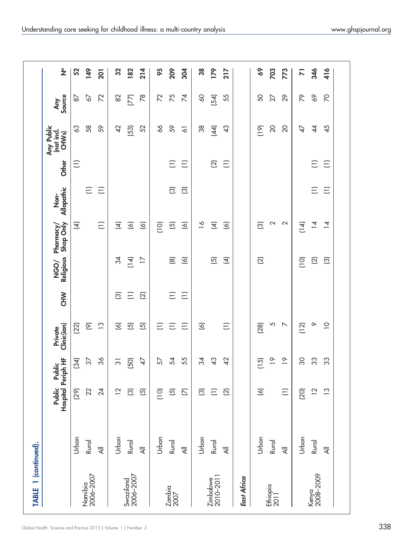| TABLE 1 (continued).          |              |                             |                     |                          |                           |                           |                        |                    |                           |                                   |                |                |
|-------------------------------|--------------|-----------------------------|---------------------|--------------------------|---------------------------|---------------------------|------------------------|--------------------|---------------------------|-----------------------------------|----------------|----------------|
|                               |              | Public<br>Hospital          | Periph HF<br>Public | Private<br>Clinic(ian)   | NHN                       | Religious<br>NGO/         | Pharmacy/<br>Shop Only | Non-<br>Allopathic | Other                     | Any Public<br>(not incl.<br>CHWs) | Any<br>Source  | $\frac{5}{2}$  |
|                               | Urban        | (29)                        | (34)                | (22)                     |                           |                           | E)                     |                    | $\widehat{=}$             | 3                                 | ৯              | 52             |
| Namibia<br>2006–2007          | <b>Rural</b> | $22$                        | $\mathcal{E}$       | $\circledcirc$           |                           |                           |                        | Ξ                  |                           | 58                                | $\mathcal{S}$  | 149            |
|                               | ₹            | $\overline{2}$              | 36                  | $\frac{3}{2}$            |                           |                           | $\widehat{=}$          | $\Xi$              |                           | SS                                | $\mathcal{L}$  | 201            |
|                               | Urban        | $\overline{2}$              | $\overline{\circ}$  | $\odot$                  | ලු                        | ನ                         | £                      |                    |                           | 42                                | 82             | 32             |
| $\frac{Swaziland}{2006-2007}$ | <b>Rural</b> | $\boxed{3}$                 | (50)                | $\overline{5}$           | Ξ                         | $\overline{4}$            | $\odot$                |                    |                           | (53)                              | $\bar{\Sigma}$ | 182            |
|                               | ₹            | $\overline{5}$              | $\vec{r}$           | <u>(5)</u>               | $\overline{\mathfrak{D}}$ | $\geq$                    | $\odot$                |                    |                           | 52                                | $\approx$      | 214            |
|                               | Urban        | $\overline{O}$              | 57                  | $\widehat{\Xi}$          |                           |                           | $\overline{10}$        |                    |                           | 8 <sup>o</sup>                    | $\mathcal{L}$  | 86             |
| $\frac{Zambia}{2007}$         | Rural        | $\overline{5}$              | $\mathcal{L}$       | $\widehat{=}$            | $\widehat{=}$             | $\circledR$               | <u>(5)</u>             | $\overline{3}$     | Ξ                         | SS                                | 75             | 209            |
|                               | ₹            | $\overline{\triangleright}$ | 55                  | $\equiv$                 | $\Xi$                     | $\odot$                   | $\odot$                | $\overline{c}$     | $\widehat{=}$             | $\overline{\circ}$                | 74             | 304            |
|                               | Urban        | $\boxed{3}$                 | $\mathfrak{F}$      | $\odot$                  |                           |                           | $\frac{8}{1}$          |                    |                           | 38                                | $\infty$       | 38             |
| Zimbabwe<br>2010–2011         | <b>Rural</b> | $\widehat{\Xi}$             | $\frac{3}{4}$       |                          |                           | <u>(5)</u>                | E)                     |                    | $\overline{\mathfrak{D}}$ | (44)                              | (54)           | 179            |
|                               | ₹            | $\boxed{2}$                 | $\overline{4}$      | $\widehat{=}$            |                           | 旦                         | $\odot$                |                    | $\widehat{=}$             | $\frac{3}{4}$                     | 55             | 217            |
| East Africa                   |              |                             |                     |                          |                           |                           |                        |                    |                           |                                   |                |                |
|                               | Urban        | $\odot$                     | (15)                | (28)                     |                           | $\overline{\mathfrak{D}}$ | ලු                     |                    |                           | $\frac{1}{2}$                     | 8              | <b>S</b>       |
| Ethiopia<br>2011              | <b>Rural</b> |                             | $\approx$           | 5                        |                           |                           | $\sim$                 |                    |                           | 20                                | 27             | 703            |
|                               | ₹            | $\widehat{=}$               | $\approx$           | $\overline{\phantom{0}}$ |                           |                           | $\mathbf{\Omega}$      |                    |                           | 20                                | 29             | 773            |
|                               | Urban        | (20)                        | 30                  | (12)                     |                           | $\frac{1}{2}$             | $\frac{4}{1}$          |                    |                           | A                                 | $\approx$      | $\overline{2}$ |
| Kenya<br>2008–2009            | <b>Rural</b> | $\overline{2}$              | 33                  | ᡐ                        |                           | $\overline{\Omega}$       | $\overline{4}$         | $\widehat{=}$      | Ξ                         | $\overline{4}$                    | $\delta$       | 346            |
|                               | ₹            | $\tilde{c}$                 | ွာ                  | $\supseteq$              |                           | $\overline{3}$            | $\overline{4}$         | $\Xi$              | $\widehat{=}$             | 45                                | R              | 416            |
|                               |              |                             |                     |                          |                           |                           |                        |                    |                           |                                   |                |                |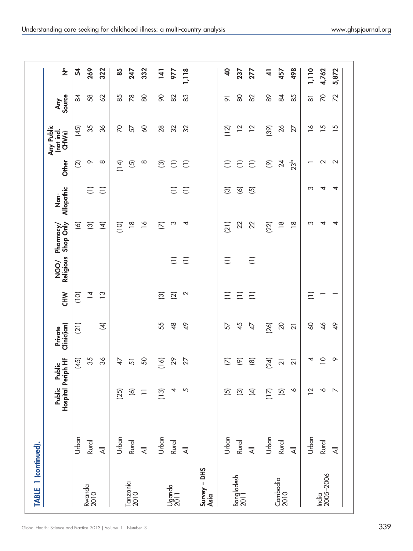| TABLE 1 (continued). |                           |                            |                     |                        |                          |                              |                          |                    |                 |                                                |                     |                         |
|----------------------|---------------------------|----------------------------|---------------------|------------------------|--------------------------|------------------------------|--------------------------|--------------------|-----------------|------------------------------------------------|---------------------|-------------------------|
|                      |                           | Public<br>Hospital         | Periph HF<br>Public | Private<br>Clinic(ian) | <b>NHN</b>               | Religious<br>$\overline{SO}$ | Shop Only<br>Pharmacy/   | Non-<br>Allopathic | Other           | Any Public<br>(not incl.<br>CHW <sub>s</sub> ) | Any<br>Source       | $\frac{5}{2}$           |
|                      | Urban                     |                            | (45)                | $\frac{1}{2}$          | $\overline{10}$          |                              | $\odot$                  |                    | ପ୍ର             | (45)                                           | $\mathbb{Z}$        | 2                       |
| Rwanda<br>2010       | Rural                     |                            | 35                  |                        | Ξ                        |                              | ලු                       | $\Xi$              | $\sim$          | 35                                             | 58                  | 269                     |
|                      | $\overline{\overline{z}}$ |                            | 36                  | $\overline{A}$         | $\tilde{c}$              |                              | 互                        | $\Xi$              | $\infty$        | 36                                             | $\delta$            | 322                     |
|                      | Urban                     | (25)                       | $\overline{4}$      |                        |                          |                              | $\overline{10}$          |                    | $\frac{4}{1}$   | $\beta$                                        | 85                  | 85                      |
| Tanzania<br>2010     | Rural                     | $\odot$                    | 51                  |                        |                          |                              | $\frac{8}{10}$           |                    | <u>ତ୍ର</u>      | 57                                             | 78                  | 247                     |
|                      | ₹                         | $\equiv$                   | SO                  |                        |                          |                              | $\frac{8}{10}$           |                    | $\infty$        | $\infty$                                       | 80                  | 332                     |
|                      | Urban                     | (13)                       | (16)                | 55                     | ි                        |                              | $\overline{\mathcal{L}}$ |                    | ලු              | 28                                             | 8                   | 141                     |
| Uganda<br>2011       | <b>Rural</b>              | 4                          | 29                  | $\frac{8}{4}$          | $\overline{2}$           | $\widehat{=}$                | က                        | Ξ                  | Ξ               | 32                                             | 82                  | 977                     |
|                      | ₹                         | 5                          | 27                  | $\frac{6}{4}$          | $\mathbf{\Omega}$        | $\Xi$                        | 4                        | $\Xi$              | $\widehat{E}$   | 32                                             | င္ထ                 | 1,118                   |
| Survey - DHS<br>Asia |                           |                            |                     |                        |                          |                              |                          |                    |                 |                                                |                     |                         |
|                      | Urban                     | $\overline{5}$             | E                   | 57                     | Ξ                        | $\widehat{=}$                | (21)                     | ම                  | Ξ               | (12)                                           | $\overline{\circ}$  | $\overline{\mathsf{d}}$ |
| Bangladesh<br>2011   | <b>Rural</b>              | $\odot$                    | $\odot$             | 45                     | $\Xi$                    |                              | 22                       | $\odot$            | $\Xi$           | $\overline{12}$                                | 80                  | 237                     |
|                      | ₹                         | $\overline{4}$             | $\circledR$         | A                      | $\widehat{=}$            | $\widehat{=}$                | 22                       | <u>ර</u>           | $\widehat{E}$   | $\overline{2}$                                 | 82                  | 277                     |
|                      | Urban                     | (17)                       | (24)                | (26)                   |                          |                              | (22)                     |                    | $\circledcirc$  | (39)                                           | 8                   | 4                       |
| Cambodia<br>2010     | Rural                     | $\overline{5}$             | $\overline{z}$      | $\overline{20}$        |                          |                              | $\frac{8}{10}$           |                    | $\overline{24}$ | $\frac{2}{6}$                                  | $\mathbb{Z}$        | 457                     |
|                      | ₹                         | $\breve{\phantom{1}}$      | $\overline{2}$      | $\overline{2}$         |                          |                              | $\frac{8}{10}$           |                    | 23 <sup>b</sup> | 27                                             | 85                  | 498                     |
|                      | Urban                     | $\overline{2}$             | 4                   | SQ                     | Ξ                        |                              | က                        | S                  |                 | $\frac{8}{1}$                                  | $\overline{\infty}$ | 1,110                   |
| India<br>2005–2006   | Rural                     | $\infty$                   | $\supseteq$         | $\frac{4}{6}$          | Γ                        |                              | 4                        | 4                  | $\sim$          | $\overline{5}$                                 | R                   | 4,762                   |
|                      | ₹                         | $\boldsymbol{\mathrel{N}}$ | $\infty$            | $\frac{6}{7}$          | $\overline{\phantom{0}}$ |                              | 4                        | 4                  | $\sim$          | $\overline{15}$                                | 72                  | 5,872                   |
|                      |                           |                            |                     |                        |                          |                              |                          |                    |                 |                                                |                     |                         |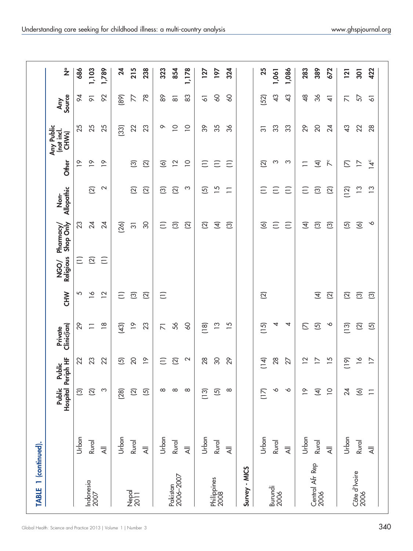| TABLE 1 (continued).    |              |                         |                     |                           |                          |                          |                        |                          |                          |                                                |                      |               |
|-------------------------|--------------|-------------------------|---------------------|---------------------------|--------------------------|--------------------------|------------------------|--------------------------|--------------------------|------------------------------------------------|----------------------|---------------|
|                         |              | Public<br>Hospital      | Periph HF<br>Public | Clinic(ian)<br>Private    | <b>NHN</b>               | <b>Religious</b><br>NGO/ | Pharmacy/<br>Shop Only | Non-<br>Allopathic       | Other                    | Any Public<br>(not incl.<br>CHW <sub>s</sub> ) | Source<br>Any        | $\frac{5}{2}$ |
|                         | Urban        | $\odot$                 | 22                  | 29                        | 5                        | Ξ                        | 23                     |                          | $\overline{C}$           | 25                                             | $\frac{2}{\sqrt{2}}$ | 686           |
| Indonesia<br>2007       | <b>Rural</b> | $\widehat{\Xi}$         | 23                  | Ξ                         | $\frac{8}{1}$            | $\overline{2}$           | $\overline{24}$        | $\overline{2}$           | $\overline{0}$           | 25                                             | $\overline{\circ}$   | 1,103         |
|                         | ₹            | $\infty$                | 22                  | $\frac{8}{1}$             | $\overline{12}$          | $\equiv$                 | $\overline{2}$         | $\sim$                   | $\tilde{=}$              | 25                                             | 82                   | 1,789         |
|                         | Urban        | (28)                    | $\overline{5}$      | $\widetilde{43}$          | $\widehat{=}$            |                          | (26)                   |                          |                          | (33)                                           | (89)                 | 24            |
| Nepal<br>2011           | Rural        | $\widehat{\alpha}$      | $\overline{20}$     | $\approx$                 | ි                        |                          | $\overline{\Omega}$    | $\overline{2}$           | ි                        | 22                                             | 77                   | 215           |
|                         | ₹            | $\overline{5}$          | $\overline{a}$      | 23                        | $\overline{2}$           |                          | $\infty$               | $\overline{2}$           | $\boxed{2}$              | 23                                             | $\overline{78}$      | 238           |
|                         | Urban        | $\infty$                | Ξ                   | $\overline{\wedge}$       | $\widehat{=}$            |                          | Ξ                      | ි                        | $\widehat{\infty}$       | $\circ$                                        | $\infty$             | 323           |
| Pakistan<br>2006–2007   | Rural        | $\infty$                | (2)                 | 56                        |                          |                          | ලු                     | (2)                      | $\overline{12}$          | $\supseteq$                                    | $\overline{\circ}$   | 854           |
|                         | ₹            | $\infty$                | $\sim$              | 8                         |                          |                          | $\overline{2}$         | က                        | $\supseteq$              | $\supseteq$                                    | 83                   | 1,178         |
|                         | Urban        | (13)                    | 28                  | (18)                      |                          |                          | $\overline{2}$         | <u> ල</u>                | Ξ                        | 86                                             | $\overline{\circ}$   | 127           |
| Philippines<br>2008     | Rural        | $\overline{6}$          | 8                   | $\tilde{c}$               |                          |                          | E                      | $\overline{5}$           | Ξ                        | 35                                             | $\infty$             | 197           |
|                         | ₹            | $\infty$                | 29                  | $\overline{5}$            |                          |                          | ලු                     | $\Box$                   | $\Xi$                    | 36                                             | $\infty$             | 324           |
| Survey - MICS           |              |                         |                     |                           |                          |                          |                        |                          |                          |                                                |                      |               |
|                         | Urban        | $\sum_{i=1}^{n}$        | $\overline{14}$     | (15)                      | $\overline{2}$           |                          | $\odot$                | Ξ                        | $\overline{2}$           | $\overline{5}$                                 | (52)                 | 25            |
| Burundi<br>2006         | Rural        | $\breve{\phantom{a}}$   | 28                  | 4                         |                          |                          | $\equiv$               | $\Xi$                    | S                        | ွှ                                             | $\mathfrak{D}$       | 1,061         |
|                         | ₹            | $\sim$                  | 27                  | 4                         |                          |                          | $\Xi$                  | $\Xi$                    | S                        | 33                                             | $\frac{3}{4}$        | 1,086         |
|                         | Urban        | $\frac{\infty}{\infty}$ | $\overline{12}$     | E                         |                          |                          | 互                      | Ξ                        | Ξ                        | 29                                             | $\frac{8}{4}$        | 283           |
| Central Afr Rep<br>2006 | <b>Rural</b> | $\overline{A}$          | $\overline{1}$      | $\overline{5}$            | $\overline{A}$           |                          | $\overline{3}$         | $\overline{\mathcal{C}}$ | $\overline{A}$           | $\overline{20}$                                | 36                   | 389           |
|                         | ₹            | $\overline{C}$          | $\overline{15}$     | ∾                         | $\overline{2}$           |                          | ි                      | $\overline{2}$           | $\tilde{\mathcal{K}}$    | $\overline{2}$                                 | $\frac{4}{5}$        | 672           |
|                         | Urban        | $\overline{24}$         | (19)                | (13)                      | $\overline{2}$           |                          | <u>ර</u>               | (12)                     | $\overline{\mathcal{L}}$ | $\frac{3}{4}$                                  | $\overline{\wedge}$  | <b>121</b>    |
| Côte d'Ivoire<br>2006   | Rural        | $\odot$                 | $\geq$              | $\overline{\mathfrak{D}}$ | $\overline{3}$           |                          | $\odot$                | $\frac{3}{2}$            | $\overline{C}$           | 22                                             | 57                   | 301           |
|                         | ₹            | $\equiv$                | $\overline{1}$      | $\overline{5}$            | $\overline{\mathcal{C}}$ |                          | $\infty$               | $\frac{3}{2}$            | 14 <sup>c</sup>          | 28                                             | $\overline{\circ}$   | 422           |
|                         |              |                         |                     |                           |                          |                          |                        |                          |                          |                                                |                      |               |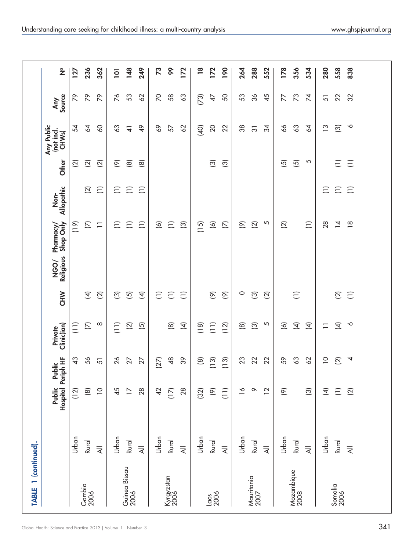|                                                   | Public<br>Periph HF<br>Public<br><b>Hospital</b> | Private<br>Clinic(ian) | CHW                   | Religious<br>NGO/ | Pharmacy/<br>Shop Only    | Allopathic<br>$\frac{1}{2}$ | Other                     | Any Public<br>(not incl.<br>CHW <sub>s</sub> ) | Any<br>Source            | $\frac{5}{2}$   |
|---------------------------------------------------|--------------------------------------------------|------------------------|-----------------------|-------------------|---------------------------|-----------------------------|---------------------------|------------------------------------------------|--------------------------|-----------------|
|                                                   | ₹,<br>(12)                                       | Ξ                      |                       |                   | $\frac{1}{2}$             |                             | $\overline{\mathfrak{D}}$ | 54                                             | $\approx$                | 127             |
|                                                   | 56<br>$\circledR$                                | E                      | E                     |                   | E                         | $\overline{\mathfrak{D}}$   | $\overline{2}$            | 24                                             | $\approx$                | 236             |
|                                                   | 51<br>$\supseteq$                                | $\infty$               | $\overline{2}$        |                   | $\equiv$                  | $\Xi$                       | $\overline{\mathfrak{D}}$ | $\infty$                                       | $\approx$                | 362             |
|                                                   | $\frac{2}{6}$<br>45                              | $\left(11\right)$      | වි                    |                   | Ξ                         | Ξ                           | $\circledcirc$            | 3                                              | $\frac{6}{1}$            | $\overline{a}$  |
| $\sum$                                            | 27                                               | $\overline{\omega}$    | $\overline{5}$        |                   | $\widehat{=}$             | Ξ                           | $\circledR$               | $\frac{4}{5}$                                  | SS                       | 148             |
| 28                                                | $\overline{27}$                                  | $\overline{5}$         | 旦                     |                   | $\widehat{=}$             | $\widehat{=}$               | $\circledR$               | $\frac{6}{4}$                                  | 62                       | 249             |
| 42                                                | 区                                                |                        | Ξ                     |                   | $\odot$                   |                             |                           | $\frac{8}{6}$                                  | R                        | $\mathfrak{c}$  |
| $\left(17\right)$                                 | $\frac{8}{3}$                                    | $\circledR$            | $\equiv$              |                   | $\equiv$                  |                             |                           | 57                                             | 58                       | $8^{\circ}$     |
| 28                                                | $\frac{8}{3}$                                    | 互                      | $\widehat{=}$         |                   | $\overline{3}$            |                             |                           | 62                                             | $\mathcal{S}^3$          | 172             |
| (32)                                              | $\circledR$                                      | (18)                   |                       |                   | (15)                      |                             |                           | $\overline{Q}$                                 | $[73]$                   | $\overline{18}$ |
| $\circledcirc$                                    | (13)                                             | (11)                   | $\circledcirc$        |                   | $\odot$                   |                             | ලු                        | 20                                             | $\overline{4}$           | 172             |
| $\begin{array}{c} \square \\ \square \end{array}$ | $\overline{13}$                                  | (12)                   | $\circledcirc$        |                   | E                         |                             | $\overline{3}$            | 22                                             | SO                       | <b>Dol</b>      |
| $\frac{8}{10}$                                    | 23                                               | $\circledR$            | $\circ$               |                   | $\circledcirc$            |                             |                           | 38                                             | 53                       | 264             |
| $\circ$                                           | 22                                               | ලු                     | $\overline{3}$        |                   | $\overline{\mathfrak{Q}}$ |                             |                           | $\overline{5}$                                 | 36                       | 288             |
| $\overline{12}$                                   | 22                                               | 5                      | $\overline{2}$        |                   | 5                         |                             |                           | ಸ                                              | 45                       | 552             |
| $\circledcirc$                                    | SS,                                              | $\odot$                |                       |                   | $\overline{\mathfrak{D}}$ |                             | <u>ର</u>                  | 89                                             | 77                       | 178             |
|                                                   | $\Im$                                            | 互                      | $\widehat{=}$         |                   |                           |                             | $\overline{5}$            | $\mathcal{S}^3$                                | $\mathcal{R}$            | 356             |
| $\widehat{\mathcal{O}}$                           | 62                                               | 互                      |                       |                   | $\widehat{=}$             |                             | 5                         | 24                                             | $\overline{\mathcal{L}}$ | 534             |
| $\overline{A}$                                    | $\supseteq$                                      | Ξ                      |                       |                   | 28                        | Ξ                           |                           | $\frac{3}{2}$                                  | 51                       | 280             |
| $\widehat{\Xi}$                                   | $\overline{2}$                                   | 互                      | $\overline{\text{2}}$ |                   | $\overline{4}$            | Ξ                           | Ξ                         | $\overline{\mathcal{C}}$                       | 22                       | 558             |
| $\overline{2}$                                    | 4                                                | $\breve{\phantom{a}}$  | $\widehat{\Xi}$       |                   | $\frac{8}{1}$             | $\widehat{=}$               | $\widehat{\Xi}$           | $\infty$                                       | 32                       | 838             |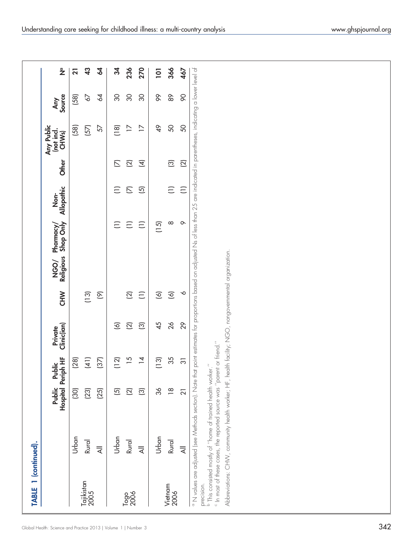| TABLE 1 (continued). |                                                                                                                                                                                                                                                        |                           |                     |                                                         |                |                   |                                                                                                                                          |                          |                      |                                                |               |                |
|----------------------|--------------------------------------------------------------------------------------------------------------------------------------------------------------------------------------------------------------------------------------------------------|---------------------------|---------------------|---------------------------------------------------------|----------------|-------------------|------------------------------------------------------------------------------------------------------------------------------------------|--------------------------|----------------------|------------------------------------------------|---------------|----------------|
|                      |                                                                                                                                                                                                                                                        | Public<br><b>Hospital</b> | Periph HF<br>Public | Private<br>Clinic(ian)                                  | NH2            | Religious<br>NGO/ | Pharmacy/<br>Shop Only                                                                                                                   | Non-<br>Allopathic       | Other                | Any Public<br>(not incl.<br>CHW <sub>s</sub> ) | Any<br>Source | $\frac{5}{2}$  |
|                      | Urban                                                                                                                                                                                                                                                  | (30)                      | (28)                |                                                         |                |                   |                                                                                                                                          |                          |                      | (58)                                           | (58)          | $\overline{2}$ |
| Tajikistan<br>2005   | <b>Rural</b>                                                                                                                                                                                                                                           | (23)                      | (41)                |                                                         | (13)           |                   |                                                                                                                                          |                          |                      | 57)                                            | 29            | $\frac{3}{2}$  |
|                      | $\overline{\overline{z}}$                                                                                                                                                                                                                              | (25)                      | (37)                |                                                         | $\circledcirc$ |                   |                                                                                                                                          |                          |                      | 57                                             | $\mathcal{L}$ | 2              |
|                      | Urban                                                                                                                                                                                                                                                  | $\overline{[5]}$          | (12)                | $\odot$                                                 |                |                   | Ξ                                                                                                                                        | Ξ                        | Σ                    | (18)                                           | 80            | ಸ              |
| Togo<br>2006         | <b>Rural</b>                                                                                                                                                                                                                                           | $\widetilde{\varSigma}$   | $\overline{5}$      | $\overline{2}$                                          | $\overline{2}$ |                   | Ξ                                                                                                                                        | $\overline{\mathcal{L}}$ | $\widetilde{\Omega}$ | $\geq$                                         | $\infty$      | 236            |
|                      | ₹                                                                                                                                                                                                                                                      | $\overline{3}$            | $\overline{4}$      | $\overline{3}$                                          | $\equiv$       |                   | $\widehat{=}$                                                                                                                            | $\overline{5}$           | 包                    | $\overline{1}$                                 | $\infty$      | 270            |
|                      | Urban                                                                                                                                                                                                                                                  | 96                        | $(13)$              | 45                                                      | $\odot$        |                   | (15)                                                                                                                                     |                          |                      | के                                             | ର୍            | $\overline{5}$ |
| Vietnam<br>2006      | <b>Rural</b>                                                                                                                                                                                                                                           | $\frac{8}{18}$            | 35                  | 26                                                      | $\odot$        |                   | $\infty$                                                                                                                                 | Ξ                        | $\overline{c}$       | SO                                             | $\infty$      | 366            |
|                      | ₹                                                                                                                                                                                                                                                      | $\overline{2}$            | $\overline{\circ}$  | 29                                                      | ╰              |                   | $\circ$                                                                                                                                  | $\widehat{=}$            | $\overline{2}$       | SO                                             | $\infty$      | 467            |
| precision.           | <sup>b</sup> This consisted mostly of "home of trained health worker."<br><sup>o</sup> N values are adjusted (see Methods section). N<br><sup>c</sup> In most of these cases, the reported source was<br>Abbreviations: CHVV, community health worker; |                           | "parent or friend." | HF, health facility; NGO, nongovernmental organization. |                |                   | lote that point estimates for proportions based on adjusted Ns of less than 25 are indicated in parentheses, indicating a lower level of |                          |                      |                                                |               |                |
|                      |                                                                                                                                                                                                                                                        |                           |                     |                                                         |                |                   |                                                                                                                                          |                          |                      |                                                |               |                |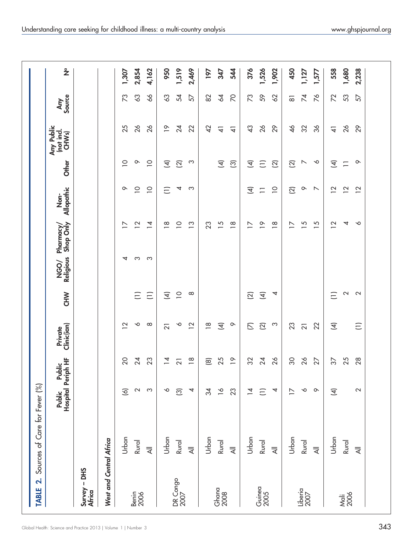<span id="page-15-0"></span>

| $\ddot{\mathbf{a}}$<br><b>TABLE</b> | Sources of Care for Fever | $\%$                     |                                     |                          |                         |                   |                         |                           |                           |                                              |                          |               |
|-------------------------------------|---------------------------|--------------------------|-------------------------------------|--------------------------|-------------------------|-------------------|-------------------------|---------------------------|---------------------------|----------------------------------------------|--------------------------|---------------|
|                                     |                           |                          | Public Public<br>Hospital Periph HF | Private<br>Clinic(ian)   | <b>NHN</b>              | Religious<br>NGO/ | Pharmacy/<br>Shop Only  | Non-<br>Allopathic        | Other                     | Any Public<br>(not incl.<br>CHW <sub>s</sub> | Any<br>Source            | $\frac{5}{2}$ |
| Survey - DHS<br>Africa              |                           |                          |                                     |                          |                         |                   |                         |                           |                           |                                              |                          |               |
| <b>West and Central Africa</b>      |                           |                          |                                     |                          |                         |                   |                         |                           |                           |                                              |                          |               |
|                                     | Urban                     | $\circ$                  | $\overline{c}$                      | $\overline{12}$          |                         | 4                 | $\geq$                  | ᡐ                         | $\supseteq$               | 25                                           | గ్                       | 1,307         |
| Benin<br>2006                       | Rural                     | $\sim$                   | $\overline{2}$                      | $\infty$                 | Ξ                       | S                 | $\overline{12}$         | $\supseteq$               | $\circ$                   | 26                                           | 3                        | 2,854         |
|                                     | $\overline{\overline{z}}$ | S                        | 23                                  | $\infty$                 | $\widehat{=}$           | S                 | $\overline{4}$          | $\supseteq$               | $\supseteq$               | 26                                           | 89                       | 4,162         |
|                                     | Urban                     | ∽                        | $\overline{4}$                      | $\overline{2}$           | 互                       |                   | $\frac{8}{1}$           | Ξ                         | E                         | $\tilde{=}$                                  | $\Im$                    | 950           |
| DR Congo<br>2007                    | Rural                     | $\boxed{3}$              | $\overline{2}$                      | ∾                        | $\overline{C}$          |                   | $\supseteq$             | 4                         | $\overline{2}$            | 24                                           | 24                       | 1,519         |
|                                     | $\overline{\overline{z}}$ | 丼                        | $\frac{8}{10}$                      | $\overline{12}$          | $\infty$                |                   | $\frac{3}{2}$           | က                         | က                         | 22                                           | 57                       | 2,469         |
|                                     | Urban                     | $\mathfrak{A}$           | $\circledR$                         | $\frac{8}{1}$            |                         |                   | 23                      |                           |                           | $\overline{4}$                               | 82                       | 197           |
| Ghana<br>2008                       | <b>Rural</b>              | $\frac{8}{10}$           | 25                                  | $\overline{A}$           |                         |                   | 51                      |                           | E                         | $\frac{1}{\mathcal{F}}$                      | 2                        | 347           |
|                                     | $\overline{\overline{z}}$ | $23$                     | $\approx$                           | $\circ$                  |                         |                   | $\frac{8}{1}$           |                           | $\overline{\mathcal{O}}$  | $\frac{4}{5}$                                | R                        | 544           |
|                                     | Urban                     | $\overline{4}$           | 32                                  | $\overline{\mathcal{L}}$ | $\overline{2}$          |                   | $\geq$                  | E                         | <u>ब</u>                  | $\frac{3}{4}$                                | K                        | 376           |
| Guinea<br>2005                      | Rural                     | Ξ                        | $\overline{24}$                     | $\overline{2}$           | $\widehat{\mathcal{A}}$ |                   | $\frac{\infty}{\infty}$ | $\equiv$                  | $\Xi$                     | 26                                           | SS,                      | 1,526         |
|                                     | $\overline{\overline{z}}$ | $\overline{\phantom{0}}$ | 26                                  | က                        | ↴                       |                   | $\frac{8}{1}$           | $\supseteq$               | $\overline{2}$            | 29                                           | 62                       | 1,902         |
|                                     | Urban                     | $\overline{\phantom{1}}$ | 90                                  | 23                       |                         |                   | $\geq$                  | $\overline{\mathfrak{D}}$ | $\overline{\mathfrak{Q}}$ | $\frac{4}{6}$                                | $\overline{\infty}$      | 450           |
| $\frac{liberia}{2007}$              | Rural                     | $\infty$                 | 26                                  | $\overline{2}$           |                         |                   | $\overline{15}$         | ᡐ                         | $\overline{\phantom{0}}$  | 32                                           | $\overline{\mathcal{L}}$ | 1,127         |
|                                     | $\overline{\overline{z}}$ | $\sim$                   | 27                                  | 22                       |                         |                   | $\overline{5}$          | $\overline{\phantom{0}}$  | $\breve{\phantom{a}}$     | 36                                           | $\frac{8}{10}$           | 1,577         |
|                                     | Urban                     | $\widehat{A}$            | 57                                  | $\overline{A}$           | Ξ                       |                   | $\overline{2}$          | $\overline{2}$            | E                         | $\frac{1}{4}$                                | 72                       | 558           |
| Mali<br>2006                        | Rural                     |                          | 25                                  |                          | $\sim$ $\sim$           |                   | 4                       | $\overline{2}$            | $\Box$                    | 26                                           | 53                       | 1,680         |
|                                     | $\overline{\overline{z}}$ | $\sim$                   | 28                                  | $\widehat{=}$            |                         |                   | ∾                       | $\overline{2}$            | $\circ$                   | 29                                           | 57                       | 2,238         |
|                                     |                           |                          |                                     |                          |                         |                   |                         |                           |                           |                                              |                          |               |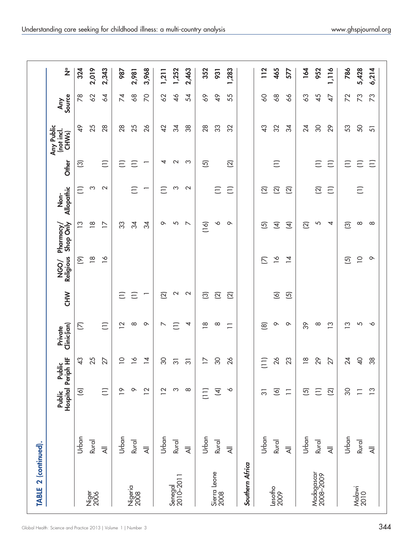|                      | $\bar{\bar{z}}$                  | 324         | 2,019         | 2,343             | 987                      | 2,981           | 3,968                    | 1,211          | 1,252                    | 2,463                    | 352                                               | 931                           | 1,283          |                 | 112                       | 465             | 577            | 164            | 952                     | 1,116          | 786            | 5,428           | 6,214       |
|----------------------|----------------------------------|-------------|---------------|-------------------|--------------------------|-----------------|--------------------------|----------------|--------------------------|--------------------------|---------------------------------------------------|-------------------------------|----------------|-----------------|---------------------------|-----------------|----------------|----------------|-------------------------|----------------|----------------|-----------------|-------------|
|                      | Source<br>Any                    | ஜ           | $\delta$      | 24                | $\overline{\mathcal{K}}$ | 89              | R                        | 29             | $\frac{1}{2}$            | 54                       | $\frac{8}{3}$                                     | $\frac{\partial}{\partial t}$ | 55             |                 | $\infty$                  | 89              | 89             | 3              | 45                      | A              | $\mathcal{L}$  | K               | K           |
| Any Public           | (not incl.<br>CHW <sub>s</sub> ) | क्          | 25            | 28                | 28                       | 25              | 26                       | 42             | $\mathfrak{L}$           | 38                       | 28                                                | 33                            | 32             |                 | 43                        | 32              | $\mathfrak{L}$ | 24             | $\infty$                | 29             | 53             | SO              | 51          |
|                      | Other                            | ලු          |               | $\widehat{=}$     | Ξ                        | $\Xi$           | $\overline{\phantom{0}}$ | 4              | $\sim$                   | S                        | <u>(5)</u>                                        |                               | $\overline{2}$ |                 |                           | $\equiv$        |                |                | $\widehat{=}$           | $\widehat{=}$  | Ξ              | $\widehat{=}$   | $\Xi$       |
|                      | Allopathic<br>$\frac{1}{2}$      | Ξ           | S             | $\mathbf{\Omega}$ |                          | Ξ               | $\overline{ }$           | $\widehat{=}$  | $\boldsymbol{\varsigma}$ | $\mathbf{\Omega}$        |                                                   | Ξ                             | $\widehat{=}$  |                 | $\overline{\mathfrak{D}}$ | $\overline{2}$  | $\overline{2}$ |                | $\overline{2}$          | $\widehat{=}$  |                | $\widehat{=}$   |             |
|                      | Pharmacy/<br>Shop Only           | $\tilde{c}$ | $\frac{8}{1}$ | $\overline{1}$    | 33                       | $\mathfrak{L}$  | ಸ                        | ᡐ              | 5                        | $\overline{\phantom{0}}$ | (16)                                              | ∿                             | $\infty$       |                 | <u>ର</u>                  | 互               | $\overline{A}$ | $\overline{2}$ | 5                       | 4              | $\overline{3}$ | $^{\circ}$      | $\infty$    |
|                      | Religious<br>NGO/                | ତ୍ର         | $\frac{8}{1}$ | $\frac{8}{10}$    |                          |                 |                          |                |                          |                          |                                                   |                               |                |                 | Q                         | $\frac{8}{10}$  | $\overline{4}$ |                |                         |                | <u>(රි</u>     | $\supseteq$     | $\circ$     |
|                      | <b>NHN</b>                       |             |               |                   | Ξ                        | $\Xi$           | $\overline{a}$           | $\overline{2}$ | $\sim$                   | $\mathbf 2$              | ලු                                                | $\overline{2}$                | $\overline{2}$ |                 |                           | $\odot$         | $\overline{5}$ |                |                         |                |                |                 |             |
|                      | Private<br>Clinic(ian)           | E           |               | $\Xi$             | $\overline{12}$          | $\infty$        | $\circ$                  | ↖              | $\widehat{=}$            | ᅿ                        | $\frac{8}{1}$                                     | $\infty$                      | $\equiv$       |                 | @                         | $\circ$         | $\circ$        | 86             | $\infty$                | $\tilde{c}$    | က              | 5               | P           |
|                      | Periph HF<br>Public              | £,          | 25            | $\overline{27}$   | $\supseteq$              | $\geq$          | $\overline{4}$           | 8              | $\overline{5}$           | $\overline{5}$           | $\overline{1}$                                    | $\infty$                      | $\frac{2}{6}$  |                 | $\frac{1}{2}$             | $\frac{26}{5}$  | 23             | $\frac{8}{1}$  | 29                      | 27             | $\overline{z}$ | $\triangleleft$ | 38          |
|                      | Hospital<br>Public               | $\odot$     |               | $\equiv$          | $\frac{\infty}{\infty}$  | $\circ$         | $\overline{2}$           | $\overline{2}$ | $\infty$                 | $\infty$                 | $\begin{array}{c} \square \\ \square \end{array}$ | $\overline{4}$                | $\sim$         |                 | $\overline{3}$            | $\odot$         | $\equiv$       | $\overline{5}$ | $\equiv$                | $\overline{2}$ | $\frac{8}{3}$  | $\equiv$        | $\tilde{c}$ |
|                      |                                  | Urban       | Rural         | ₹                 | Urban                    | Rural           | ₹                        | Urban          | <b>Rural</b>             | ₹                        | Urban                                             | <b>Rural</b>                  | ₹              |                 | Urban                     | <b>Rural</b>    | ₹              | Urban          | Rural                   | ₹              | Urban          | Rural           | ₹           |
| TABLE 2 (continued). |                                  |             | Niger<br>2006 |                   |                          | Nigeria<br>2008 |                          |                | Senegal<br>2010–2011     |                          |                                                   | Sierra Leone<br>2008          |                | Southern Africa |                           | Lesotho<br>2009 |                |                | Madagascar<br>2008–2009 |                |                | Malawi<br>2010  |             |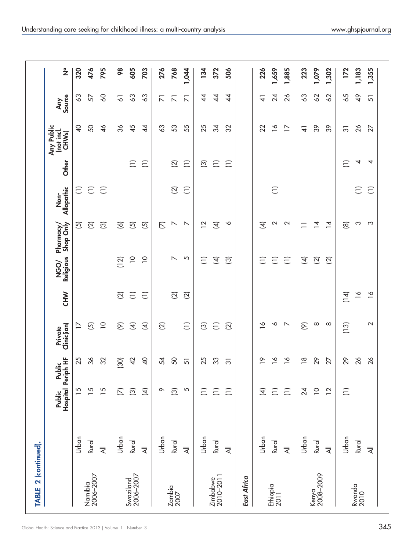| TABLE 2 (continued).    |              |                             |                     |                           |                |                          |                          |                    |                           |                                                |                         |             |
|-------------------------|--------------|-----------------------------|---------------------|---------------------------|----------------|--------------------------|--------------------------|--------------------|---------------------------|------------------------------------------------|-------------------------|-------------|
|                         |              | Hospital<br>Public          | Periph HF<br>Public | Clinic(ian)<br>Private    | NH2            | Religious<br>NGO/        | Shop Only<br>Pharmacy/   | Allopathic<br>Non- | Other                     | Any Public<br>(not incl.<br>CHW <sub>s</sub> ) | Any<br>Source           | ż           |
|                         | Urban        | $\overline{5}$              | 25                  | $\geq$                    |                |                          | <u>ତ</u>                 | Ξ                  |                           | ₽                                              | 3                       | 320         |
| Namibia<br>2006–2007    | <b>Rural</b> | $\overline{5}$              | 36                  | 5                         |                |                          | $\overline{2}$           | $\Xi$              |                           | SO                                             | 57                      | 476         |
|                         | ₹            | $\frac{5}{1}$               | 32                  | $\supseteq$               |                |                          | ලු                       | $\widehat{=}$      |                           | $\frac{8}{5}$                                  | $\infty$                | 795         |
|                         | Urban        | $\overline{\triangleright}$ | (30)                | ତି                        | ପ୍ର            | $\frac{2}{2}$            | $\odot$                  |                    |                           | 36                                             | 5                       | $8^{\circ}$ |
| S<br>waziland 2006–2007 | <b>Rural</b> | $\boxed{3}$                 | $\overline{4}$      | 互                         | Ξ              | $\supseteq$              | $\overline{5}$           |                    | Ξ                         | 45                                             | 3                       | 605         |
|                         | ₹            | $\widehat{H}$               | $\Delta$            | 互                         | $\widehat{=}$  | $\supseteq$              | $\overline{5}$           |                    | $\widehat{=}$             | 4                                              | $\mathcal{S}^3$         | 703         |
|                         | Urban        | $\sim$                      | 54                  | $\overline{\mathfrak{D}}$ |                |                          | Е                        |                    |                           | 3                                              | π                       | 276         |
| $\frac{Zambia}{2007}$   | <b>Rural</b> | $\odot$                     | 8                   |                           | $\overline{2}$ | $\overline{\phantom{1}}$ | ↖                        | $\overline{2}$     | $\overline{\mathfrak{D}}$ | 53                                             | $\overline{\wedge}$     | 768         |
|                         | ₹            | 5                           | 51                  | $\widehat{=}$             | $(2)$          | 5                        | $\overline{\phantom{0}}$ | $\widehat{=}$      | $\widehat{=}$             | 55                                             | $\overline{\wedge}$     | 1,044       |
|                         | Urban        | $\widehat{\Xi}$             | 25                  | ි                         |                | Ξ                        | $\overline{2}$           |                    | ල                         | 25                                             | 4                       | 134         |
| Zimbabwe<br>2010–2011   | <b>Rural</b> | $\widehat{\Xi}$             | 33                  | $\widehat{E}$             |                | 互                        | 互                        |                    | Ξ                         | $\mathcal{L}$                                  | $\overline{4}$          | 372         |
|                         | ₹            | $\widehat{=}$               | $\overline{\infty}$ | $\overline{\mathfrak{D}}$ |                | ි                        | ∾                        |                    | $\widehat{=}$             | 32                                             | 4                       | 506         |
| East Africa             |              |                             |                     |                           |                |                          |                          |                    |                           |                                                |                         |             |
|                         | Urban        | $\overline{A}$              | $\approx$           | ∾                         |                | Ξ                        | 旦                        |                    |                           | 22                                             | $\frac{1}{\mathcal{F}}$ | 226         |
| Ethiopia<br>2011        | <b>Rural</b> | $\widehat{\Xi}$             | $\frac{8}{1}$       | ∿                         |                | Ξ                        | $\sim$                   | $\widehat{=}$      |                           | $\frac{8}{1}$                                  | $\overline{24}$         | 1,659       |
|                         | ₹            | $\widehat{=}$               | $\geq$              | $\overline{\phantom{0}}$  |                | Ξ                        | $\mathbf{\Omega}$        |                    |                           | $\overline{1}$                                 | 26                      | 1,885       |
|                         | Urban        | $\overline{24}$             | $\frac{8}{1}$       | ତି                        |                | E                        | $\Box$                   |                    |                           | $\frac{4}{5}$                                  | 3                       | 223         |
| Kenya<br>2008–2009      | <b>Rural</b> | $\supseteq$                 | 29                  | $\infty$                  |                | $\overline{2}$           | $\overline{4}$           |                    |                           | $\frac{8}{3}$                                  | 62                      | 1,079       |
|                         | ₹            | $\overline{12}$             | 27                  | $\infty$                  |                | $\overline{2}$           | $\overline{4}$           |                    |                           | 8                                              | 62                      | 1,302       |
|                         | Urban        | $\equiv$                    | 29                  | (13)                      | (14)           |                          | $\circledR$              |                    | Ξ                         | $\overline{5}$                                 | 99                      | 172         |
| Rwanda<br>2010          | Rural        |                             | $\frac{2}{6}$       |                           | $\geq$         |                          | က                        | Ξ                  | ᅻ                         | 26                                             | $\frac{6}{7}$           | 1,183       |
|                         | ₹            |                             | $\frac{2}{6}$       | $\sim$                    | $\frac{8}{10}$ |                          | က                        | $\widehat{E}$      | ↴                         | 27                                             | 51                      | 1,355       |
|                         |              |                             |                     |                           |                |                          |                          |                    |                           |                                                |                         |             |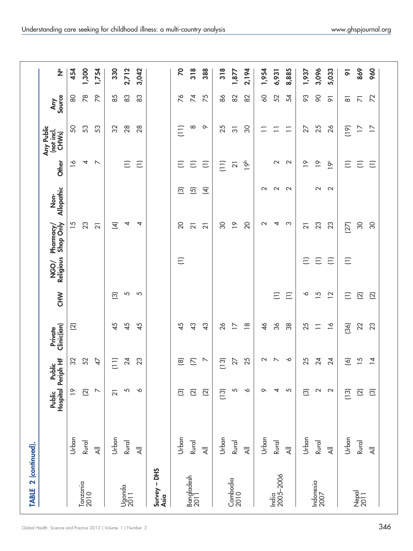| $\bar{z}$                         | 454                 | 1,300            | 1,754                     | 330             | 2,712           | 3,042    |                             | $\mathsf{R}$             | 318                      | 388                       | 318               | 1,877            | 2,194                     | 1,954         | 6,931                    | 8,885             | 1,937                    | 3,096             | 5,033              | $\overline{\circ}$  | 869                   | 960                       |
|-----------------------------------|---------------------|------------------|---------------------------|-----------------|-----------------|----------|-----------------------------|--------------------------|--------------------------|---------------------------|-------------------|------------------|---------------------------|---------------|--------------------------|-------------------|--------------------------|-------------------|--------------------|---------------------|-----------------------|---------------------------|
| Any<br>Source                     | 80                  | $\frac{8}{2}$    | $\approx$                 | 85              | 83              | 83       |                             | $\frac{2}{\sqrt{2}}$     | $\overline{\mathcal{K}}$ | 75                        | 8 <sup>o</sup>    | 82               | 82                        | $\infty$      | 52                       | $\mathcal{L}$     | 83                       | 8                 | $\overline{\circ}$ | $\overline{\infty}$ | $\overline{\wedge}$   | $\overline{z}$            |
| Any Public<br>(not incl.<br>CHWs) | SO                  | SS               | S3                        | 32              | 28              | 28       |                             | $\overline{1}$           | $\infty$                 | $\circ$                   | 25                | $\overline{5}$   | SO                        | $\equiv$      | $\Box$                   | $\equiv$          | 27                       | 25                | $\frac{2}{6}$      | (19)                | $\geq$                | $\overline{1}$            |
| Other                             | $\frac{8}{1}$       | 4                | $\overline{\phantom{0}}$  |                 | Ξ               | $\Xi$    |                             | Ξ                        | $\widehat{=}$            | $\Xi$                     | $\left(11\right)$ | $\overline{2}$   | 19 <sup>b</sup>           |               | $\sim$                   | $\mathbf{\Omega}$ | $\overline{0}$           | $\overline{0}$    | $\frac{8}{1}$      | Ξ                   | Ξ                     | $\widehat{E}$             |
| Non-<br>Allopathic                |                     |                  |                           |                 |                 |          |                             | ලු                       | $\overline{5}$           | $\widehat{A}$             |                   |                  |                           | $\sim$        | $\sim$                   | $\sim$            |                          | $\sim$            | $\sim$             |                     |                       |                           |
| Pharmacy/<br>Shop Only            | $\frac{5}{1}$       | 23               | $\overline{2}$            | 三               | 4               | ᅿ        |                             | $\infty$                 | $\overline{2}$           | $\overline{2}$            | $\infty$          | $\tilde{=}$      | $\overline{20}$           | $\sim$        | 4                        | က                 | $\overline{2}$           | 23                | 23                 | $[27]$              | $\approx$             | $\infty$                  |
| NGO/<br>Religious                 |                     |                  |                           |                 |                 |          |                             | $\widehat{=}$            |                          |                           |                   |                  |                           |               |                          |                   | Ξ                        | $\widehat{E}$     | $\widehat{=}$      | $\widehat{=}$       |                       |                           |
| <b>NHN</b>                        |                     |                  |                           | $\overline{3}$  | 5               | 5        |                             |                          |                          |                           |                   |                  |                           |               | $\widehat{=}$            | $\widehat{=}$     | ∾                        | $\overline{5}$    | $\overline{12}$    | Ξ                   | $\overline{2}$        | (2)                       |
| Private<br>Clinic(ian)            | $\overline{\Omega}$ |                  |                           | 45              | 45              | 45       |                             | 45                       | $\frac{3}{4}$            | $\frac{3}{4}$             | 26                | $\overline{1}$   | $\frac{8}{1}$             | $\frac{8}{1}$ | 36                       | 38                | 25                       | $\Box$            | $\frac{8}{10}$     | (36)                | 22                    | 23                        |
| Public<br>Periph HF               | 32                  | 52               | A                         | $\widehat{\Xi}$ | $\overline{24}$ | 23       |                             | @                        | $\overline{\mathcal{L}}$ | $\triangleright$          | (13)              | 27               | 25                        | $\sim$        | $\overline{\phantom{0}}$ | $\sim$            | 25                       | $\overline{24}$   | $\overline{2}$     | $\circledcirc$      | $\overline{15}$       | $\overline{4}$            |
| Public<br>Hospital                | $\overline{6}$      | $\widehat{\Xi}$  | $\triangleright$          | $\overline{2}$  | 5               | $\infty$ |                             | $\overline{\mathcal{O}}$ | $\widetilde{\Xi}$        | $\widetilde{\Xi}$         | (13)              | 5                | $\breve{\phantom{0}}$     | $\infty$      | 4                        | 5                 | $\widehat{\mathfrak{D}}$ | $\sim$            | $\sim$             | $(13)$              | $\overline{\text{2}}$ | $\boxed{3}$               |
|                                   | Urban               | Rural            | $\overline{\overline{z}}$ | Urban           | Rural           | ₹        |                             | Urban                    | Rural                    | $\overline{\overline{z}}$ | Urban             | Rural            | $\overline{\overline{z}}$ | Urban         | Rural                    | ₹                 | Urban                    | Rural             | ₹                  | Urban               | Rural                 | $\overline{\overline{z}}$ |
|                                   |                     | Tanzania<br>2010 |                           |                 | Uganda<br>2011  |          | $-$ DHS<br>Survey -<br>Asia |                          | Bangladesh<br>2011       |                           |                   | Cambodia<br>2010 |                           |               | India<br>2005–2006       |                   |                          | Indonesia<br>2007 |                    |                     | $\frac{p}{2011}$      |                           |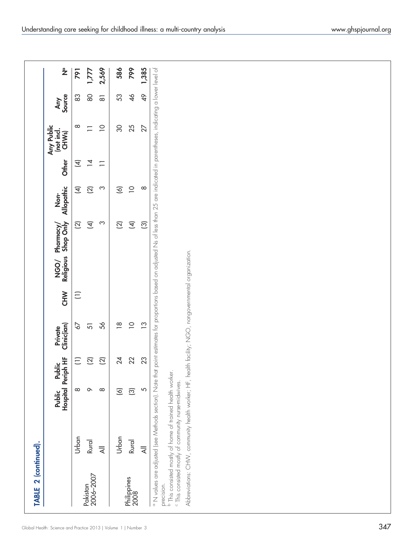| $\frac{5}{2}$                     | 791                       | 1,777                 | 2,569              | 586            | 799                 | 1,385                     |
|-----------------------------------|---------------------------|-----------------------|--------------------|----------------|---------------------|---------------------------|
| Source<br>Any                     | 83                        | $\infty$              | $\overline{\circ}$ | SS             | $\frac{1}{2}$       | $\frac{6}{7}$             |
| Any Public<br>(not incl.<br>CHWs) | $\infty$                  | $\equiv$              | $\supseteq$        | 80             | 25                  | 27                        |
| Other                             | E)                        | $\overline{4}$        | $\equiv$           |                |                     |                           |
| Non-<br>Allopathic                | 互                         | $\overline{2}$        | S                  | $\odot$        | $\subseteq$         | $\infty$                  |
| Pharmacy/<br>Shop Only            | $\overline{\mathfrak{Q}}$ | $\overline{A}$        | S                  | $\overline{2}$ | $\overline{A}$      | ලු                        |
| NGO/<br>Religious                 |                           |                       |                    |                |                     |                           |
| CHW                               | $\Xi$                     |                       |                    |                |                     |                           |
| Private<br>Clinic(ian)            | 2                         | 51                    | 56                 | $\frac{8}{1}$  | $\overline{C}$      | $\frac{3}{2}$             |
| Periph HF<br>Public               | $\widehat{=}$             | $\boxed{2}$           | $\boxed{2}$        | 24             | 22                  | 23                        |
| Hospital<br>Public                | $\infty$                  | $\circ$               | $\infty$           | $\odot$        | $\odot$             | 5                         |
|                                   | Urban                     | <b>Rural</b>          | ₹                  | Urban          | <b>Rural</b>        | $\overline{\preccurlyeq}$ |
|                                   |                           | Pakistan<br>2006–2007 |                    |                | Philippines<br>2008 |                           |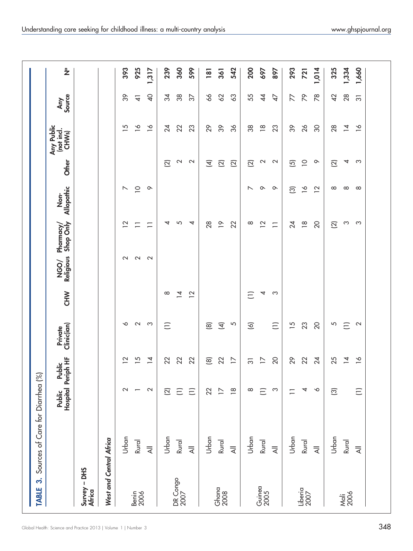<span id="page-20-0"></span>

| က<br><b>TABLE</b>              | Sources of Care for Diarrh |                           | lea (%)                             |                        |                 |                   |                        |                    |                           |                                   |                             |            |
|--------------------------------|----------------------------|---------------------------|-------------------------------------|------------------------|-----------------|-------------------|------------------------|--------------------|---------------------------|-----------------------------------|-----------------------------|------------|
|                                |                            |                           | Public Public<br>Hospital Periph HF | Private<br>Clinic(ian) | <b>NH</b>       | Religious<br>NGO/ | Pharmacy/<br>Shop Only | Allopathic<br>Non- | Other                     | Any Public<br>(not incl.<br>CHWs) | Any<br>Source               | $\bar{z}$  |
| Survey - DHS<br>Africa         |                            |                           |                                     |                        |                 |                   |                        |                    |                           |                                   |                             |            |
| <b>West and Central Africa</b> |                            |                           |                                     |                        |                 |                   |                        |                    |                           |                                   |                             |            |
|                                | Urban                      | $\sim$                    | $\overline{2}$                      | ∾                      |                 | $\sim$            | $\overline{1}$         | ↖                  |                           | $\overline{5}$                    | 39                          | 393        |
| Benin<br>2006                  | <b>Rural</b>               |                           | $\overline{15}$                     | $\sim$                 |                 | $\sim$            | $\Box$                 | $\overline{C}$     |                           | $\frac{8}{10}$                    | $\frac{4}{5}$               | 925        |
|                                | $\overline{\overline{z}}$  | $\mathbf{\Omega}$         | $\overline{4}$                      | S                      |                 | $\mathbf 2$       | $\Box$                 | $\circ$            |                           | $\frac{8}{10}$                    | $\triangleleft$             | 1,317      |
|                                | Urban                      | $\overline{\mathfrak{Q}}$ | 22                                  | $\widehat{=}$          | $\infty$        |                   | 4                      |                    | $\overline{2}$            | $\overline{24}$                   | 54                          | 239        |
| DR Congo<br>2007               | <b>Rural</b>               | $\Xi$                     | 22                                  |                        | $\overline{A}$  |                   | 5                      |                    | $\sim$                    | 22                                | 38                          | 360        |
|                                | ₹                          | $\equiv$                  | 22                                  |                        | $\overline{12}$ |                   | ↴                      |                    | $\mathbf{\Omega}$         | 23                                | $\overline{\mathcal{E}}$    | 599        |
|                                | Urban                      | 22                        | $\circledR$                         | $\circledR$            |                 |                   | 28                     |                    | 白<br>(巨                   | 29                                | 8 <sup>o</sup>              | <b>181</b> |
| Ghana<br>2008                  | <b>Rural</b>               | $\geq$                    | 22                                  | $\overline{A}$         |                 |                   | $\overline{0}$         |                    | $\overline{2}$            | $\frac{8}{3}$                     | 62                          | 361        |
|                                | $\overline{\overline{A}}$  | $\infty$                  | $\geq$                              | 5                      |                 |                   | 22                     |                    | $\overline{2}$            | 36                                | $\mathcal{S}^{\mathcal{S}}$ | 542        |
|                                | Urban                      | $\infty$                  | 5                                   | $\circledcirc$         | Ξ               |                   | $\infty$               | ↖                  | $\overline{\mathfrak{D}}$ | 38                                | 55                          | 200        |
| Guinea<br>2005                 | <b>Rural</b>               | $\equiv$                  | $\overline{1}$                      |                        | 4               |                   | $\overline{12}$        | $\infty$           | $\mathbf{\Omega}$         | $\frac{8}{1}$                     | $\overline{4}$              | 697        |
|                                | $\overline{\overline{z}}$  | $\infty$                  | $\infty$                            | $\widehat{=}$          | S               |                   | $\equiv$               | $\circ$            | $\mathbf{\sim}$           | 23                                | A                           | 897        |
|                                | Urban                      |                           | 29                                  | $\overline{5}$         |                 |                   | $\overline{24}$        | ි                  | $\overline{6}$            | 39                                | 77                          | 293        |
| Liberia<br>2007                | <b>Rural</b>               | 4                         | 22                                  | 23                     |                 |                   | $\frac{8}{1}$          | $\frac{8}{1}$      | $\overline{C}$            | $\frac{2}{6}$                     | $\tilde{z}$                 | 721        |
|                                | $\overline{\preccurlyeq}$  | ╰                         | $\overline{\mathcal{Z}}$            | $\overline{20}$        |                 |                   | $\overline{20}$        | $\overline{12}$    | $\circ$                   | $\infty$                          | 78                          | 1,014      |
|                                | Urban                      | $\overline{3}$            | 25                                  | 5                      |                 |                   | $\overline{2}$         | ∞                  | $\overline{\mathfrak{D}}$ | 28                                | 42                          | 325        |
| Mali<br>2006                   | Rural                      |                           | $\overline{4}$                      | Ξ                      |                 |                   | က                      | $\infty$           | 4                         | $\overline{4}$                    | 28                          | 1,334      |
|                                | $\overline{\overline{A}}$  | ⋍                         | $\frac{8}{10}$                      | $\mathbf{\Omega}$      |                 |                   | က                      | $\infty$           | က                         | $\overline{10}$                   | $\overline{3}$              | 1,660      |
|                                |                            |                           |                                     |                        |                 |                   |                        |                    |                           |                                   |                             |            |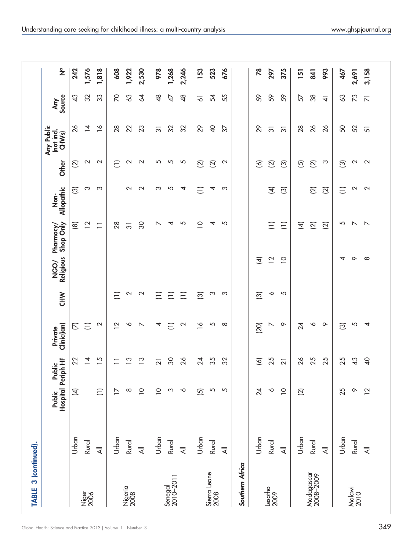| TABLE 3 (continued).    |                           |                    |                     |                          |                   |                   |                          |                    |                           |                                                |                     |       |
|-------------------------|---------------------------|--------------------|---------------------|--------------------------|-------------------|-------------------|--------------------------|--------------------|---------------------------|------------------------------------------------|---------------------|-------|
|                         |                           | Hospital<br>Public | Periph HF<br>Public | Private<br>Clinic(ian)   | <b>SHN</b>        | Religious<br>NGO/ | Pharmacy/<br>Shop Only   | Non-<br>Allopathic | Other                     | Any Public<br>(not incl.<br>CHW <sub>s</sub> ) | Any<br>Source       | ż     |
|                         | Urban                     | $\overline{A}$     | 22                  | E                        |                   |                   | @                        | ි                  | $\overline{\mathfrak{D}}$ | $\frac{8}{2}$                                  | යි.                 | 242   |
| Niger<br>2006           | <b>Rural</b>              |                    | $\overline{4}$      | $\widehat{\Xi}$          |                   |                   | $\overline{12}$          | S                  | $\sim$                    | $\overline{4}$                                 | 32                  | 1,576 |
|                         | ₹                         | $\widehat{=}$      | $\overline{15}$     | $\mathbf{\Omega}$        |                   |                   | $\equiv$                 | S                  | $\mathbf{\Omega}$         | $\frac{8}{1}$                                  | ွာ                  | 1,818 |
|                         | Urban                     | $\overline{C}$     |                     | $\overline{2}$           | Ξ                 |                   | 28                       |                    | Ξ                         | 28                                             | R                   | 608   |
| Nigeria<br>2008         | Rural                     | $\infty$           | $\frac{3}{2}$       | $\infty$                 | $\mathbf{\sim}$   |                   | $\overline{5}$           | $\sim$             | $\sim$                    | 22                                             | 3                   | 1,922 |
|                         | ₹                         | $\supseteq$        | $\frac{3}{2}$       | $\overline{ }$           | $\mathbf{\Omega}$ |                   | 80                       | $\mathbf{\Omega}$  | $\sim$                    | 23                                             | 24                  | 2,530 |
|                         | Urban                     | $\supseteq$        | $\overline{2}$      | 4                        | Ξ                 |                   | ↖                        | က                  | 5                         | $\overline{5}$                                 | $\frac{8}{3}$       | 978   |
| Senegal<br>2010–2011    | <b>Rural</b>              | $\infty$           | $\infty$            | $\widehat{=}$            | $\widehat{E}$     |                   | 4                        | 5                  | 5                         | 32                                             | A                   | 1,268 |
|                         | ₹                         | $\infty$           | 26                  | $\mathbf{\Omega}$        | $\widehat{=}$     |                   | 5                        | 4                  | 5                         | 32                                             | $\frac{8}{3}$       | 2,246 |
|                         | Urban                     | $\overline{5}$     | $\overline{24}$     | ∿                        | $\overline{3}$    |                   | $\overline{C}$           | $\widehat{=}$      | $\overline{\mathfrak{Q}}$ | 29                                             | $\overline{\circ}$  | 153   |
| Sierra Leone<br>2008    | <b>Rural</b>              | $\overline{5}$     | 35                  | 5                        | S                 |                   | 4                        | 4                  | $\overline{2}$            | $\Delta$                                       | 24                  | 523   |
|                         | ₹                         | 5                  | 32                  | $\infty$                 | S                 |                   | 5                        | S                  | $\sim$                    | $\overline{\mathcal{E}}$                       | 55                  | 676   |
| Southern Africa         |                           |                    |                     |                          |                   |                   |                          |                    |                           |                                                |                     |       |
|                         | Urban                     | $\overline{24}$    | $\odot$             | (20)                     | $\overline{3}$    | E                 |                          |                    | $\widehat{\infty}$        | 29                                             | SS                  | 78    |
| Lesotho<br>2009         | <b>Rural</b>              | $\breve{\circ}$    | 25                  | $\overline{\phantom{1}}$ | ╰                 | $\overline{12}$   | $\widehat{=}$            | $\overline{A}$     | $\overline{2}$            | $\overline{5}$                                 | SS                  | 297   |
|                         | $\overline{\overline{z}}$ | $\overline{C}$     | $\overline{2}$      | $\circ$                  | 5                 | $\overline{C}$    | $\Xi$                    | $\overline{3}$     | ි                         | $\overline{3}$                                 | SS                  | 375   |
|                         | Urban                     | $\overline{2}$     | 26                  | $\overline{2}$           |                   |                   | E)                       |                    | ତ୍ର                       | 28                                             | 57                  | 151   |
| Madagascar<br>2008–2009 | Rural                     |                    | 25                  | ∿                        |                   |                   | $\overline{2}$           | $\overline{2}$     | (2)                       | 26                                             | 38                  | 841   |
|                         | ₹                         |                    | 25                  | $\circ$                  |                   |                   | $\overline{2}$           | $\overline{2}$     | က                         | $\frac{2}{6}$                                  | $\frac{4}{5}$       | 993   |
|                         | Urban                     | 25                 | 25                  | ි                        |                   | 4                 | 5                        | Ξ                  | ලු                        | SO                                             | 3                   | 467   |
| Malawi<br>2010          | Rural                     | $\circ$            | $\frac{3}{4}$       | 5                        |                   | ᡐ                 | $\overline{\phantom{a}}$ | $\sim$             | $\sim$                    | 52                                             | $\mathcal{R}$       | 2,691 |
|                         | ₹                         | $\overline{2}$     | $\Delta$            | 4                        |                   | $\infty$          | $\overline{\phantom{a}}$ | $\mathbf{\Omega}$  | $\mathbf{\Omega}$         | 51                                             | $\overline{\wedge}$ | 3,158 |
|                         |                           |                    |                     |                          |                   |                   |                          |                    |                           |                                                |                     |       |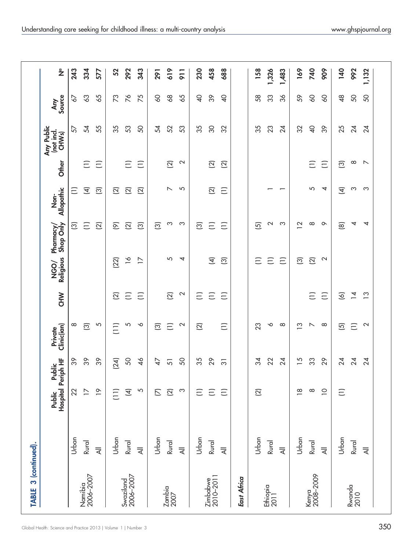| TABLE 3 (continued).       |                           |                         |                          |                          |                           |                   |                        |                           |                          |                                                |                |                 |
|----------------------------|---------------------------|-------------------------|--------------------------|--------------------------|---------------------------|-------------------|------------------------|---------------------------|--------------------------|------------------------------------------------|----------------|-----------------|
|                            |                           | Public<br>Hospital      | Periph HF<br>Public      | Private<br>Clinic(ian)   | <b>NH2</b>                | Religious<br>NGO/ | Pharmacy/<br>Shop Only | Non-<br>Allopathic        | Other                    | Any Public<br>(not incl.<br>CHW <sub>s</sub> ) | Any<br>Source  | ž               |
|                            | Urban                     | 22                      | 39                       | ∞                        |                           |                   | ලු                     | Ξ                         |                          | 57                                             | 57             | 243             |
| Namibia<br>2006–2007       | <b>Rural</b>              | $\overline{1}$          | $\frac{8}{3}$            | ි                        |                           |                   | Ξ                      | E                         | Ξ,                       | 54                                             | 3              | 334             |
|                            | $\overline{\overline{z}}$ | $\tilde{=}$             | $\frac{8}{3}$            | 5                        |                           |                   | $\overline{2}$         | ි                         | $\widehat{=}$            | 55                                             | 99             | 577             |
|                            | Urban                     | $\left(11\right)$       | (24)                     | $\left(11\right)$        | $\overline{\mathfrak{D}}$ | (22)              | ତ୍ର                    | $\overline{\mathfrak{D}}$ |                          | 35                                             | $\mathcal{L}$  | 52              |
| Swaziland<br>$2006 - 2007$ | <b>Rural</b>              | $\widehat{\mathcal{A}}$ | SO                       | 5                        | Ξ                         | $\geq$            | $\overline{2}$         | $\overline{2}$            | Ξ                        | 53                                             | $\frac{6}{10}$ | 292             |
|                            | ₹                         | 5                       | $\frac{1}{2}$            | ╰                        | $\widehat{=}$             | $\overline{1}$    | $\overline{3}$         | (2)                       | $\widehat{=}$            | SO                                             | 75             | 343             |
|                            | Urban                     | $\overline{\mathbb{C}}$ | A                        | ලු                       |                           |                   | ලු                     |                           |                          | 54                                             | $\delta$       | <b>16Z</b>      |
| $\frac{Zambia}{2007}$      | <b>Rural</b>              | $\rm \Xi$               | 51                       | Ξ                        | $\overline{2}$            | 5                 | S                      | $\overline{\phantom{0}}$  | $\overline{2}$           | 52                                             | $\frac{8}{6}$  | 619             |
|                            | ₹                         | $\infty$                | SO                       | $\mathbf{\sim}$          | $\mathbf{\Omega}$         | 丼                 | S                      | 5                         | $\mathbf{\Omega}$        | S3                                             | 65             | $\overline{11}$ |
|                            | Urban                     | $\widehat{\Xi}$         | 35                       | $\overline{2}$           | Ξ                         |                   | ලු                     |                           |                          | 35                                             | $\overline{A}$ | 230             |
| Zimbabwe<br>2010–2011      | <b>Rural</b>              | $\Xi$                   | 29                       |                          | Ξ                         | $\overline{A}$    | Ξ                      | $\overline{2}$            | $\overline{2}$           | $\infty$                                       | $\frac{8}{3}$  | 458             |
|                            | ₹                         | $\widehat{\Xi}$         | $\overline{3}$           | $\widehat{=}$            | $\Xi$                     | $\overline{3}$    | $\widehat{E}$          | $\Xi$                     | (2)                      | 32                                             | $\Theta$       | 688             |
| <b>East Africa</b>         |                           |                         |                          |                          |                           |                   |                        |                           |                          |                                                |                |                 |
|                            | Urban                     | $\widetilde{\Xi}$       | $\mathcal{L}$            | 23                       |                           | Ξ                 | <u>ර</u>               |                           |                          | 35                                             | 58             | 158             |
| Ethiopia<br>2011           | <b>Rural</b>              |                         | 22                       | ∾                        |                           | $\widehat{=}$     | $\sim$                 |                           |                          | 23                                             | ွာ             | 1,326           |
|                            | $\overline{\overline{z}}$ |                         | $\overline{z}$           | $\infty$                 |                           | $\widehat{=}$     | S                      |                           |                          | $\overline{2}$                                 | 36             | .483            |
|                            | Urban                     | $\frac{8}{1}$           | $\overline{5}$           | က                        |                           | ි                 | $\sim$                 |                           |                          | 32                                             | 59             | 169             |
| Kenya<br>2008–2009         | <b>Rural</b>              | $\infty$                | 33                       | $\overline{\phantom{1}}$ | Ξ                         | $\overline{2}$    | $^{\circ}$             | 5                         | Ξ                        | $\Theta$                                       | $\infty$       | 740             |
|                            | ₹                         | $\supseteq$             | 29                       | $\infty$                 | $\Xi$                     | $\sim$            | $\circ$                | 4                         | $\widehat{=}$            | $\frac{8}{3}$                                  | $\delta$       | 909             |
|                            | Urban                     | $\widehat{=}$           | $\overline{2}$           | ତ୍ର                      | $\widehat{\infty}$        |                   | $\circledR$            | E                         | ි                        | 25                                             | $\frac{8}{4}$  | 140             |
| Rwanda<br>2010             | <b>Rural</b>              |                         | $\overline{\mathcal{Z}}$ | Ξ                        | $\overline{4}$            |                   | 4                      | S                         | $\infty$                 | $\overline{2}$                                 | SO             | 992             |
|                            | ₹                         |                         | $\overline{\mathcal{Z}}$ | $\mathbf{\sim}$          | $\frac{3}{2}$             |                   | 4                      | S                         | $\overline{\phantom{0}}$ | $\overline{2}$                                 | SO             | 1,132           |
|                            |                           |                         |                          |                          |                           |                   |                        |                           |                          |                                                |                |                 |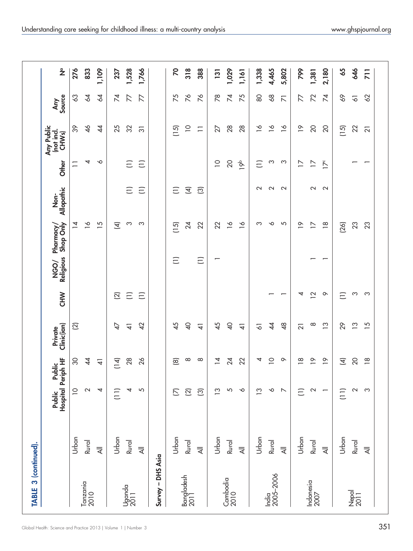|          |                          |                        |                 |                   |                        |                         |                                      | Any Public                     |                          |              |
|----------|--------------------------|------------------------|-----------------|-------------------|------------------------|-------------------------|--------------------------------------|--------------------------------|--------------------------|--------------|
| Hospital | Periph HF<br>Public      | Private<br>Clinic(ian) | <b>NHN</b>      | Religious<br>NGO/ | Pharmacy/<br>Shop Only | Allopathic<br>Non-      | Other                                | (not incl.<br>CHW <sub>s</sub> | Source<br>Any            | ż            |
|          | 8                        | $\overline{2}$         |                 |                   | $\overline{4}$         |                         | $\equiv$                             | $\frac{8}{3}$                  | 3                        | 276          |
|          | $\overline{A}$           |                        |                 |                   | $\frac{8}{10}$         |                         | 4                                    | $\frac{1}{2}$                  | 24                       | 833          |
|          | $\frac{4}{5}$            |                        |                 |                   | $\overline{15}$        |                         | ╰                                    | $\overline{4}$                 | $\mathcal{L}$            | 1,109        |
|          | (14)                     | A                      | $\overline{2}$  |                   | 互                      |                         |                                      | 25                             | $\overline{\mathcal{L}}$ | 237          |
|          | 28                       | $\overline{4}$         | $\widehat{=}$   |                   | S                      | Ξ                       | Ξ                                    | 32                             | K                        | 1,528        |
|          | $\frac{2}{6}$            | 42                     | $\Xi$           |                   | S                      | $\Xi$                   | $\Xi$                                | $\overline{3}$                 | $\overline{\wedge}$      | 1,766        |
|          |                          |                        |                 |                   |                        |                         |                                      |                                |                          |              |
|          | $\circledR$              | 45                     |                 | $\widehat{=}$     | (15)                   | $\widehat{E}$           |                                      | (15)                           | 75                       | $\mathsf{R}$ |
|          | $^{\circ}$               | $\overline{Q}$         |                 |                   | $\overline{2}$         | $\widehat{\mathcal{A}}$ |                                      | $\supseteq$                    | $\frac{8}{10}$           | 318          |
|          | $\infty$                 | $\frac{4}{5}$          |                 | $\widehat{=}$     | 22                     | $\overline{3}$          |                                      | $\equiv$                       | $\frac{8}{10}$           | 388          |
|          | $\overline{z}$           | 45                     |                 |                   | 22                     |                         | $\supseteq$                          | 27                             | $\frac{8}{2}$            | <b>131</b>   |
|          | $\overline{\mathcal{Z}}$ | $\overline{Q}$         |                 |                   | $\frac{8}{1}$          |                         | $\infty$                             | 28                             | 74                       | 1,029        |
|          | 22                       | $\frac{4}{5}$          |                 |                   | $\frac{8}{1}$          |                         | $\overline{\mathsf{Q}}^{\mathsf{b}}$ | 28                             | 75                       | 1,161        |
|          | 4                        | $\overline{\circ}$     |                 |                   | S                      | $\sim$                  | Ξ                                    | $\frac{8}{1}$                  | $\infty$                 | 1,338        |
|          | $\supseteq$              | 4                      |                 |                   | ∿                      | $\sim$                  | S                                    | $\frac{8}{1}$                  | 89                       | 4,465        |
|          | $\sim$                   | $\frac{8}{3}$          |                 |                   | 5                      | $\mathbf{\Omega}$       | S                                    | $\frac{8}{1}$                  | $\overline{\wedge}$      | 5,802        |
|          | $\frac{8}{10}$           | 21                     | 4               |                   | $\tilde{=}$            |                         | $\geq$                               | $\frac{\infty}{\infty}$        | K                        | 799          |
|          | $\overline{C}$           | $\infty$               | $\overline{12}$ |                   | $\overline{1}$         | $\sim$                  | $\geq$                               | $\overline{20}$                | 72                       | 1,381        |
|          | $\overline{0}$           | က                      | $\circ$         |                   | $\frac{8}{1}$          | $\mathbf{\Omega}$       | 15 <sup>c</sup>                      | 20                             | $\overline{\mathcal{L}}$ | 2,180        |
|          | E                        | 29                     | Ξ               |                   | (26)                   |                         |                                      | (15)                           | $\delta$                 | 59           |
|          | $\infty$                 | $\frac{3}{2}$          | S               |                   | $23$                   |                         |                                      | 22                             | $\overline{\circ}$       | 646          |
|          | $\frac{8}{1}$            | $\overline{15}$        | S               |                   | 23                     |                         |                                      | $\overline{2}$                 | 62                       | <b>711</b>   |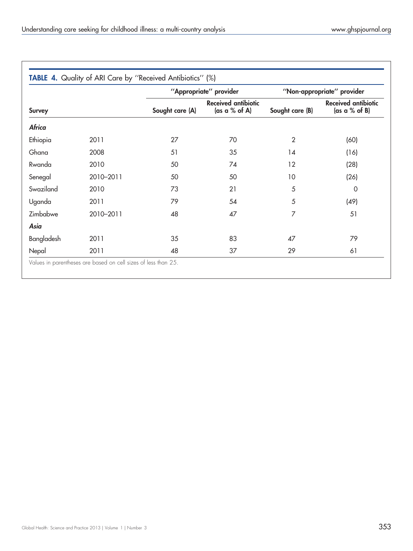<span id="page-25-0"></span>

|               |           |                 | "Appropriate" provider                        |                 | "Non-appropriate" provider                    |
|---------------|-----------|-----------------|-----------------------------------------------|-----------------|-----------------------------------------------|
| <b>Survey</b> |           | Sought care (A) | <b>Received antibiotic</b><br>(as a $%$ of A) | Sought care (B) | <b>Received antibiotic</b><br>(as a $%$ of B) |
| <b>Africa</b> |           |                 |                                               |                 |                                               |
| Ethiopia      | 2011      | 27              | 70                                            | 2               | (60)                                          |
| Ghana         | 2008      | 51              | 35                                            | 14              | (16)                                          |
| Rwanda        | 2010      | 50              | 74                                            | 12              | (28)                                          |
| Senegal       | 2010-2011 | 50              | 50                                            | 10              | (26)                                          |
| Swaziland     | 2010      | 73              | 21                                            | 5               | $\Omega$                                      |
| Uganda        | 2011      | 79              | 54                                            | 5               | (49)                                          |
| Zimbabwe      | 2010-2011 | 48              | 47                                            | 7               | 51                                            |
| Asia          |           |                 |                                               |                 |                                               |
| Bangladesh    | 2011      | 35              | 83                                            | 47              | 79                                            |
| Nepal         | 2011      | 48              | 37                                            | 29              | 61                                            |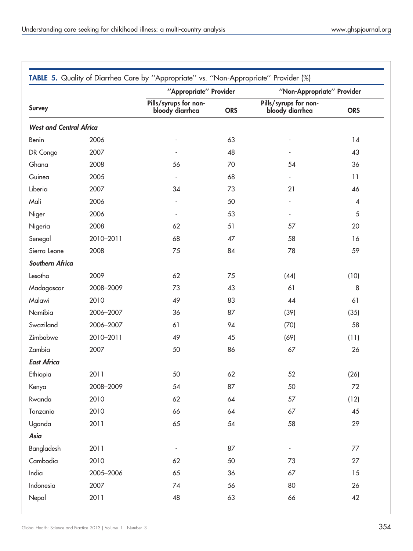<span id="page-26-0"></span>

|                                |           | "Appropriate" Provider                   |            | "Non-Appropriate" Provider               |            |
|--------------------------------|-----------|------------------------------------------|------------|------------------------------------------|------------|
| <b>Survey</b>                  |           | Pills/syrups for non-<br>bloody diarrhea | <b>ORS</b> | Pills/syrups for non-<br>bloody diarrhea | <b>ORS</b> |
| <b>West and Central Africa</b> |           |                                          |            |                                          |            |
| Benin                          | 2006      |                                          | 63         |                                          | 14         |
| DR Congo                       | 2007      |                                          | 48         |                                          | 43         |
| Ghana                          | 2008      | 56                                       | 70         | 54                                       | 36         |
| Guinea                         | 2005      | $\overline{\phantom{a}}$                 | 68         | $\overline{\phantom{a}}$                 | 11         |
| Liberia                        | 2007      | 34                                       | 73         | 21                                       | 46         |
| Mali                           | 2006      | $\overline{\phantom{a}}$                 | 50         | $\overline{\phantom{a}}$                 | 4          |
| Niger                          | 2006      | $\overline{\phantom{a}}$                 | 53         | $\overline{\phantom{a}}$                 | 5          |
| Nigeria                        | 2008      | 62                                       | 51         | 57                                       | 20         |
| Senegal                        | 2010-2011 | 68                                       | 47         | 58                                       | 16         |
| Sierra Leone                   | 2008      | 75                                       | 84         | 78                                       | 59         |
| <b>Southern Africa</b>         |           |                                          |            |                                          |            |
| Lesotho                        | 2009      | 62                                       | 75         | (44)                                     | (10)       |
| Madagascar                     | 2008-2009 | 73                                       | 43         | 61                                       | 8          |
| Malawi                         | 2010      | 49                                       | 83         | 44                                       | 61         |
| Namibia                        | 2006-2007 | 36                                       | 87         | (39)                                     | (35)       |
| Swaziland                      | 2006-2007 | 61                                       | 94         | (70)                                     | 58         |
| Zimbabwe                       | 2010-2011 | 49                                       | 45         | (69)                                     | (11)       |
| Zambia                         | 2007      | 50                                       | 86         | 67                                       | 26         |
| <b>East Africa</b>             |           |                                          |            |                                          |            |
| Ethiopia                       | 2011      | 50                                       | 62         | 52                                       | (26)       |
| Kenya                          | 2008-2009 | 54                                       | 87         | 50                                       | 72         |
| Rwanda                         | 2010      | 62                                       | 64         | 57                                       | (12)       |
| Tanzania                       | 2010      | 66                                       | 64         | $67$                                     | 45         |
| Uganda                         | 2011      | 65                                       | 54         | 58                                       | 29         |
| Asia                           |           |                                          |            |                                          |            |
| Bangladesh                     | 2011      |                                          | 87         |                                          | $77$       |
| Cambodia                       | 2010      | 62                                       | 50         | 73                                       | 27         |
| India                          | 2005-2006 | 65                                       | 36         | 67                                       | 15         |
| Indonesia                      | 2007      | 74                                       | 56         | 80                                       | 26         |
| Nepal                          | 2011      | 48                                       | 63         | 66                                       | $42\,$     |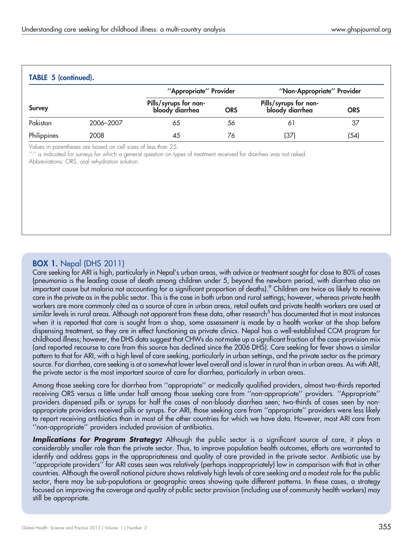<span id="page-27-0"></span>

| TABLE 5 (continued). |           |                                          |            |                                          |            |
|----------------------|-----------|------------------------------------------|------------|------------------------------------------|------------|
|                      |           | "Appropriate" Provider                   |            | "Non-Appropriate" Provider               |            |
| <b>Survey</b>        |           | Pills/syrups for non-<br>bloody diarrhea | <b>ORS</b> | Pills/syrups for non-<br>bloody diarrhea | <b>ORS</b> |
| Pakistan             | 2006-2007 | 65                                       | 56         | 61                                       | 37         |
| Philippines          | 2008      | 45                                       | 76         | (37)                                     | (54)       |

Values in parentheses are based on cell sizes of less than 25.

''-'' is indicated for surveys for which a general question on types of treatment received for diarrhea was not asked.

Abbreviations: ORS, oral rehydration solution.

## BOX 1. Nepal (DHS 2011)

Care seeking for ARI is high, particularly in Nepal's urban areas, with advice or treatment sought for close to 80% of cases (pneumonia is the leading cause of death among children under 5, beyond the newborn period, with diarrhea also an important cause but malaria not accounting for a significant proportion of deaths).<sup>9</sup> Children are twice as likely to receive care in the private as in the public sector. This is the case in both urban and rural settings; however, whereas private health workers are more commonly cited as a source of care in urban areas, retail outlets and private health workers are used at similar levels in rural areas. Although not apparent from these data, other research<sup>5</sup> has documented that in most instances when it is reported that care is sought from a shop, some assessment is made by a health worker at the shop before dispensing treatment, so they are in effect functioning as private clinics. Nepal has a well-established CCM program for childhood illness; however, the DHS data suggest that CHWs do not make up a significant fraction of the case-provision mix (and reported recourse to care from this source has declined since the 2006 DHS). Care seeking for fever shows a similar pattern to that for ARI, with a high level of care seeking, particularly in urban settings, and the private sector as the primary source. For diarrhea, care seeking is at a somewhat lower level overall and is lower in rural than in urban areas. As with ARI, the private sector is the most important source of care for diarrhea, particularly in urban areas.

Among those seeking care for diarrhea from ''appropriate'' or medically qualified providers, almost two-thirds reported receiving ORS versus a little under half among those seeking care from ''non-appropriate'' providers. ''Appropriate'' providers dispensed pills or syrups for half the cases of non-bloody diarrhea seen; two-thirds of cases seen by nonappropriate providers received pills or syrups. For ARI, those seeking care from ''appropriate'' providers were less likely to report receiving antibiotics than in most of the other countries for which we have data. However, most ARI care from ''non-appropriate'' providers included provision of antibiotics.

Implications for Program Strategy: Although the public sector is a significant source of care, it plays a considerably smaller role than the private sector. Thus, to improve population health outcomes, efforts are warranted to identify and address gaps in the appropriateness and quality of care provided in the private sector. Antibiotic use by ''appropriate providers'' for ARI cases seen was relatively (perhaps inappropriately) low in comparison with that in other countries. Although the overall national picture shows relatively high levels of care seeking and a modest role for the public sector, there may be sub-populations or geographic areas showing quite different patterns. In these cases, a strategy focused on improving the coverage and quality of public sector provision (including use of community health workers) may still be appropriate.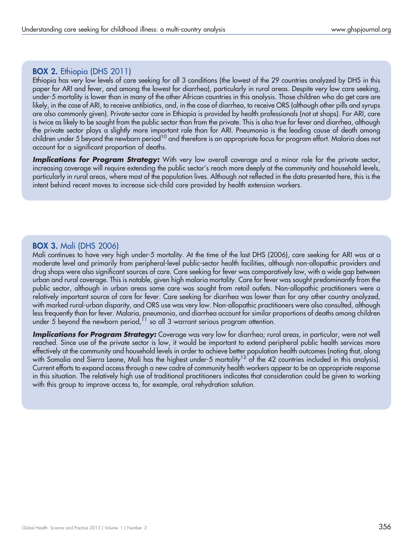## **BOX 2.** Ethiopia (DHS 2011)

Ethiopia has very low levels of care seeking for all 3 conditions (the lowest of the 29 countries analyzed by DHS in this paper for ARI and fever, and among the lowest for diarrhea), particularly in rural areas. Despite very low care seeking, under-5 mortality is lower than in many of the other African countries in this analysis. Those children who do get care are likely, in the case of ARI, to receive antibiotics, and, in the case of diarrhea, to receive ORS (although other pills and syrups are also commonly given). Private-sector care in Ethiopia is provided by health professionals (not at shops). For ARI, care is twice as likely to be sought from the public sector than from the private. This is also true for fever and diarrhea, although the private sector plays a slightly more important role than for ARI. Pneumonia is the leading cause of death among children under 5 beyond the newborn period<sup>10</sup> and therefore is an appropriate focus for program effort. Malaria does not account for a significant proportion of deaths.

**Implications for Program Strategy:** With very low overall coverage and a minor role for the private sector, increasing coverage will require extending the public sector's reach more deeply at the community and household levels, particularly in rural areas, where most of the population lives. Although not reflected in the data presented here, this is the intent behind recent moves to increase sick-child care provided by health extension workers.

## BOX 3. Mali (DHS 2006)

Mali continues to have very high under-5 mortality. At the time of the last DHS (2006), care seeking for ARI was at a moderate level and primarily from peripheral-level public-sector health facilities, although non-allopathic providers and drug shops were also significant sources of care. Care seeking for fever was comparatively low, with a wide gap between urban and rural coverage. This is notable, given high malaria mortality. Care for fever was sought predominantly from the public sector, although in urban areas some care was sought from retail outlets. Non-allopathic practitioners were a relatively important source of care for fever. Care seeking for diarrhea was lower than for any other country analyzed, with marked rural-urban disparity, and ORS use was very low. Non-allopathic practitioners were also consulted, although less frequently than for fever. Malaria, pneumonia, and diarrhea account for similar proportions of deaths among children under 5 beyond the newborn period,  $11$  so all 3 warrant serious program attention.

Implications for Program Strategy: Coverage was very low for diarrhea; rural areas, in particular, were not well reached. Since use of the private sector is low, it would be important to extend peripheral public health services more effectively at the community and household levels in order to achieve better population health outcomes (noting that, along with Somalia and Sierra Leone, Mali has the highest under-5 mortality<sup>12</sup> of the 42 countries included in this analysis). Current efforts to expand access through a new cadre of community health workers appear to be an appropriate response in this situation. The relatively high use of traditional practitioners indicates that consideration could be given to working with this group to improve access to, for example, oral rehydration solution.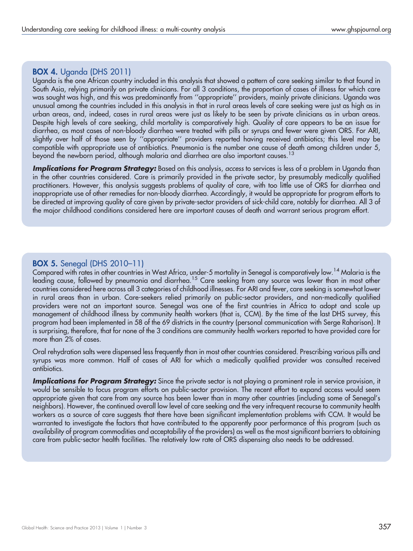## BOX 4. Uganda (DHS 2011)

Uganda is the one African country included in this analysis that showed a pattern of care seeking similar to that found in South Asia, relying primarily on private clinicians. For all 3 conditions, the proportion of cases of illness for which care was sought was high, and this was predominantly from ''appropriate'' providers, mainly private clinicians. Uganda was unusual among the countries included in this analysis in that in rural areas levels of care seeking were just as high as in urban areas, and, indeed, cases in rural areas were just as likely to be seen by private clinicians as in urban areas. Despite high levels of care seeking, child mortality is comparatively high. Quality of care appears to be an issue for diarrhea, as most cases of non-bloody diarrhea were treated with pills or syrups and fewer were given ORS. For ARI, slightly over half of those seen by ''appropriate'' providers reported having received antibiotics; this level may be compatible with appropriate use of antibiotics. Pneumonia is the number one cause of death among children under 5, beyond the newborn period, although malaria and diarrhea are also important causes.<sup>13</sup>

Implications for Program Strategy: Based on this analysis, access to services is less of a problem in Uganda than in the other countries considered. Care is primarily provided in the private sector, by presumably medically qualified practitioners. However, this analysis suggests problems of quality of care, with too little use of ORS for diarrhea and inappropriate use of other remedies for non-bloody diarrhea. Accordingly, it would be appropriate for program efforts to be directed at improving quality of care given by private-sector providers of sick-child care, notably for diarrhea. All 3 of the major childhood conditions considered here are important causes of death and warrant serious program effort.

## BOX 5. Senegal (DHS 2010–11)

Compared with rates in other countries in West Africa, under-5 mortality in Senegal is comparatively low.<sup>14</sup> Malaria is the leading cause, followed by pneumonia and diarrhea.<sup>15</sup> Care seeking from any source was lower than in most other countries considered here across all 3 categories of childhood illnesses. For ARI and fever, care seeking is somewhat lower in rural areas than in urban. Care-seekers relied primarily on public-sector providers, and non-medically qualified providers were not an important source. Senegal was one of the first countries in Africa to adopt and scale up management of childhood illness by community health workers (that is, CCM). By the time of the last DHS survey, this program had been implemented in 58 of the 69 districts in the country (personal communication with Serge Raharison). It is surprising, therefore, that for none of the 3 conditions are community health workers reported to have provided care for more than 2% of cases.

Oral rehydration salts were dispensed less frequently than in most other countries considered. Prescribing various pills and syrups was more common. Half of cases of ARI for which a medically qualified provider was consulted received antibiotics.

**Implications for Program Strategy:** Since the private sector is not playing a prominent role in service provision, it would be sensible to focus program efforts on public-sector provision. The recent effort to expand access would seem appropriate given that care from any source has been lower than in many other countries (including some of Senegal's neighbors). However, the continued overall low level of care seeking and the very infrequent recourse to community health workers as a source of care suggests that there have been significant implementation problems with CCM. It would be warranted to investigate the factors that have contributed to the apparently poor performance of this program (such as availability of program commodities and acceptability of the providers) as well as the most significant barriers to obtaining care from public-sector health facilities. The relatively low rate of ORS dispensing also needs to be addressed.